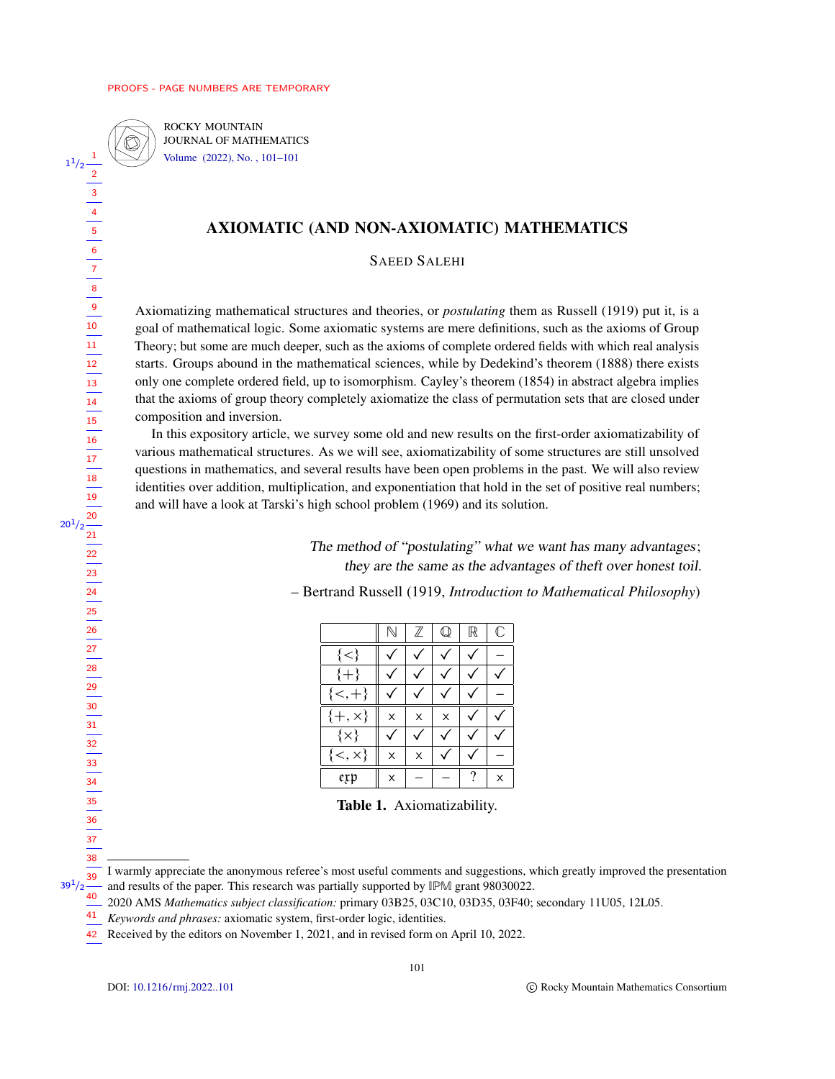$1^{1}/2$   $\frac{1}{2}$ 

<span id="page-0-0"></span> $20^{1}/2 \frac{20}{21}$ 

 $\circledR$ 

ROCKY MOUNTAIN JOURNAL OF MATHEMATICS [Volume \(2022\), No. , 101–101](https://doi.org/rmj.2022.-)

# AXIOMATIC (AND NON-AXIOMATIC) MATHEMATICS

SAEED SALEHI

Axiomatizing mathematical structures and theories, or *postulating* them as Russell (1919) put it, is a goal of mathematical logic. Some axiomatic systems are mere definitions, such as the axioms of Group Theory; but some are much deeper, such as the axioms of complete ordered fields with which real analysis starts. Groups abound in the mathematical sciences, while by Dedekind's theorem (1888) there exists only one complete ordered field, up to isomorphism. Cayley's theorem (1854) in abstract algebra implies that the axioms of group theory completely axiomatize the class of permutation sets that are closed under composition and inversion.

In this expository article, we survey some old and new results on the first-order axiomatizability of various mathematical structures. As we will see, axiomatizability of some structures are still unsolved questions in mathematics, and several results have been open problems in the past. We will also review identities over addition, multiplication, and exponentiation that hold in the set of positive real numbers; and will have a look at Tarski's high school problem (1969) and its solution.

> The method of "postulating" what we want has many advantages; they are the same as the advantages of theft over honest toil.

– Bertrand Russell (1919, *Introduction to Mathematical Philosophy*)

|                 | Ν | $\mathbb Z$ | Q | $\mathbb R$ | $\mathbb C$ |
|-----------------|---|-------------|---|-------------|-------------|
| ${<}$           |   |             |   |             |             |
| $\{+\}$         |   |             |   |             |             |
| ${<,+\}$        |   |             |   |             |             |
| $\{+, \times\}$ | X | X           | X |             |             |
| $\{x\}$         |   |             |   |             |             |
| $\{<,\times\}$  | X | X           |   |             |             |
| exp             | X |             |   | ?           | x           |

Table 1. Axiomatizability.

I warmly appreciate the anonymous referee's most useful comments and suggestions, which greatly improved the presentation - and results of the paper. This research was partially supported by IPM grant 98030022. 39  $39^{1}/2$ 40

<sup>2020</sup> AMS *Mathematics subject classification:* primary 03B25, 03C10, 03D35, 03F40; secondary 11U05, 12L05.

*Keywords and phrases:* axiomatic system, first-order logic, identities. 41

<sup>42</sup> Received by the editors on November 1, 2021, and in revised form on April 10, 2022.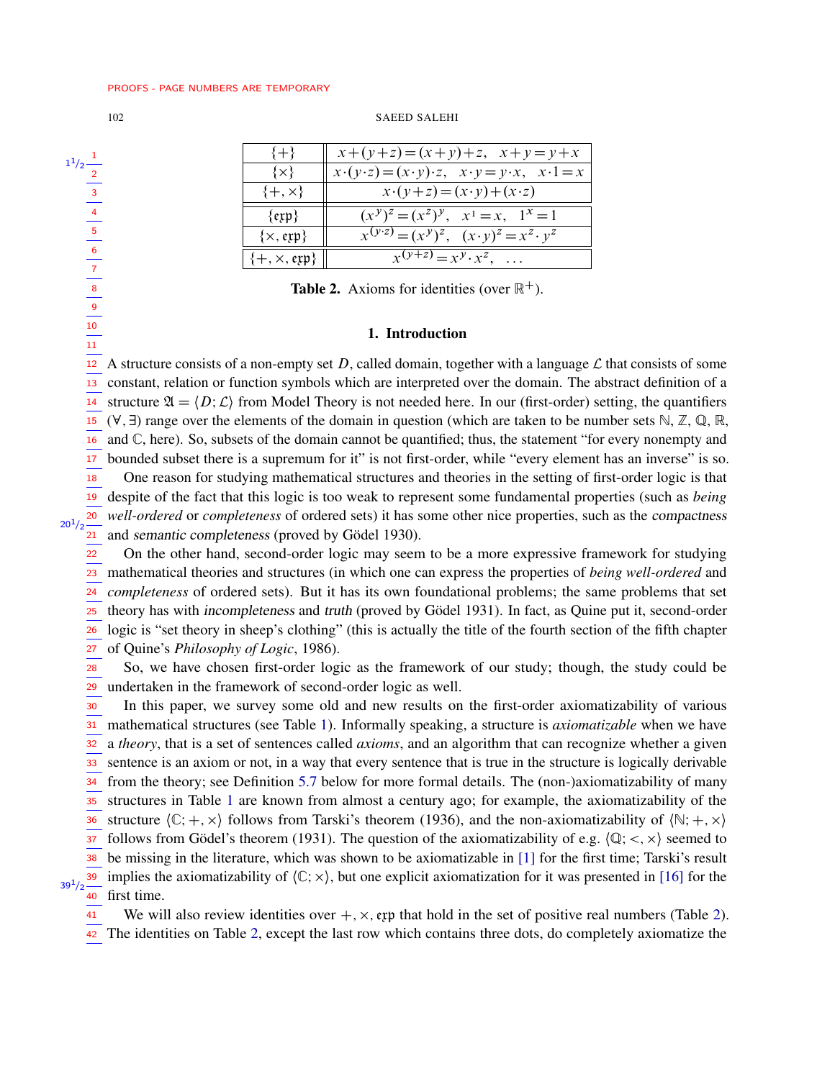#### 102 SAEED SALEHI

| 2 |               |
|---|---------------|
| 3 |               |
| 4 |               |
|   | $1^{1}/2^{-}$ |

| $\{+\}$               | $x+(y+z)=(x+y)+z, x+y=y+x$                                                              |
|-----------------------|-----------------------------------------------------------------------------------------|
| $\{x\}$               | $x \cdot (y \cdot z) = (x \cdot y) \cdot z$ , $x \cdot y = y \cdot x$ , $x \cdot 1 = x$ |
| $\{+, \times\}$       | $x \cdot (y+z) = (x \cdot y) + (x \cdot z)$                                             |
| $\{ \exp \}$          | $(x^y)^z = (x^z)^y$ , $x^1 = x$ , $1^x = 1$                                             |
| $\{x, \text{exp}\}\$  | $x^{(y \tcdot z)} = (x^y)^z$ , $(x \tcdot y)^z = x^z \tcdot y^z$                        |
| $\{+, \times, \exp\}$ | $x^{(y+z)} = x^y \cdot x^z, \dots$                                                      |

**Table 2.** Axioms for identities (over  $\mathbb{R}^+$ ).

# 1. Introduction

12 A structure consists of a non-empty set D, called domain, together with a language  $\mathcal L$  that consists of some constant, relation or function symbols which are interpreted over the domain. The abstract definition of a structure  $\mathfrak{A} = \langle D; \mathcal{L} \rangle$  from Model Theory is not needed here. In our (first-order) setting, the quantifiers  $(\forall, \exists)$  range over the elements of the domain in question (which are taken to be number sets  $\mathbb{N}, \mathbb{Z}, \mathbb{Q}, \mathbb{R},$ and C, here). So, subsets of the domain cannot be quantified; thus, the statement "for every nonempty and bounded subset there is a supremum for it" is not first-order, while "every element has an inverse" is so. One reason for studying mathematical structures and theories in the setting of first-order logic is that despite of the fact that this logic is too weak to represent some fundamental properties (such as *being well-ordered* or *completeness* of ordered sets) it has some other nice properties, such as the compactness and semantic completeness (proved by Gödel 1930). 13 14 15 16 17 18 19 20  $\overline{21}$ 

 $20<sup>1</sup>/2$ 

On the other hand, second-order logic may seem to be a more expressive framework for studying mathematical theories and structures (in which one can express the properties of *being well-ordered* and *completeness* of ordered sets). But it has its own foundational problems; the same problems that set theory has with incompleteness and truth (proved by Gödel 1931). In fact, as Quine put it, second-order logic is "set theory in sheep's clothing" (this is actually the title of the fourth section of the fifth chapter of Quine's *Philosophy of Logic*, 1986). 22 23 24 25 26 27

So, we have chosen first-order logic as the framework of our study; though, the study could be undertaken in the framework of second-order logic as well. 28 29

In this paper, we survey some old and new results on the first-order axiomatizability of various mathematical structures (see Table [1\)](#page-0-0). Informally speaking, a structure is *axiomatizable* when we have 31 a *theory*, that is a set of sentences called *axioms*, and an algorithm that can recognize whether a given sentence is an axiom or not, in a way that every sentence that is true in the structure is logically derivable from the theory; see Definition [5.7](#page-11-0) below for more formal details. The (non-)axiomatizability of many structures in Table [1](#page-0-0) are known from almost a century ago; for example, the axiomatizability of the structure  $\langle \mathbb{C}; +, \times \rangle$  follows from Tarski's theorem (1936), and the non-axiomatizability of  $\langle \mathbb{N}; +, \times \rangle$ follows from Gödel's theorem (1931). The question of the axiomatizability of e.g.  $\langle \mathbb{Q}; <, \times \rangle$  seemed to be missing in the literature, which was shown to be axiomatizable in [\[1\]](#page-18-0) for the first time; Tarski's result implies the axiomatizability of  $\langle C; \times \rangle$ , but one explicit axiomatization for it was presented in [\[16\]](#page-18-1) for the first time. 30 32 33 34 35 36 37 38 39  $39^{1}/2$ 40

We will also review identities over  $+, \times,$  exp that hold in the set of positive real numbers (Table [2\)](#page-1-0). 41

42 The identities on Table [2,](#page-1-0) except the last row which contains three dots, do completely axiomatize the

<span id="page-1-0"></span>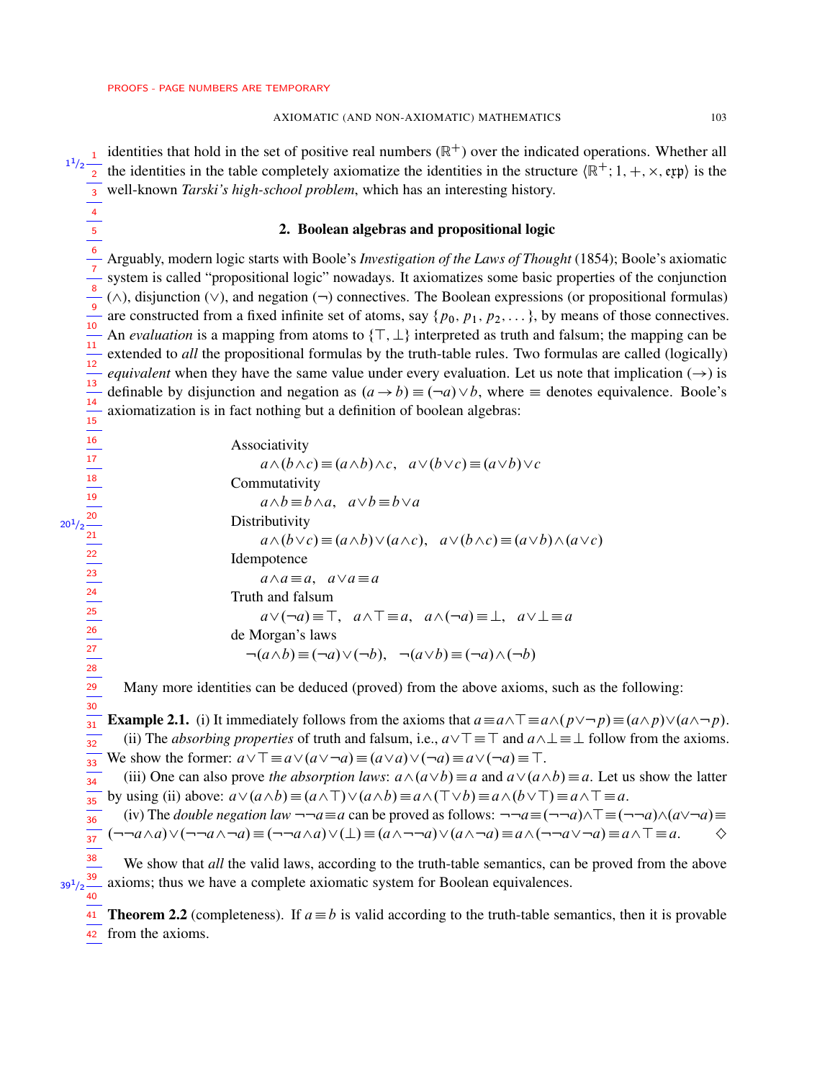> $36$  $\frac{1}{37}$

> > <span id="page-2-1"></span>40

identities that hold in the set of positive real numbers  $(\mathbb{R}^+)$  over the indicated operations. Whether all  $1^{1/2}$   $\frac{1}{2}$  he identities in the table completely axiomatize the identities in the structure  $(\mathbb{R}^+; 1, +, \times, \text{exp})$  is the well-known *Tarski's high-school problem*, which has an interesting history. 3

# 2. Boolean algebras and propositional logic

Arguably, modern logic starts with Boole's *Investigation of the Laws of Thought* (1854); Boole's axiomatic system is called "propositional logic" nowadays. It axiomatizes some basic properties of the conjunction  $(\wedge)$ , disjunction  $(\vee)$ , and negation  $(\neg)$  connectives. The Boolean expressions (or propositional formulas) are constructed from a fixed infinite set of atoms, say  $\{p_0, p_1, p_2, \ldots\}$ , by means of those connectives. An *evaluation* is a mapping from atoms to  $\{T, \perp\}$  interpreted as truth and falsum; the mapping can be extended to *all* the propositional formulas by the truth-table rules. Two formulas are called (logically) *equivalent* when they have the same value under every evaluation. Let us note that implication  $(\rightarrow)$  is definable by disjunction and negation as  $(a \rightarrow b) \equiv (\neg a) \lor b$ , where  $\equiv$  denotes equivalence. Boole's axiomatization is in fact nothing but a definition of boolean algebras: 6 7 8 9  $\frac{1}{10}$  $\frac{1}{11}$ 12 13 14 15

> Associativity  $a\wedge(b\wedge c)\equiv(a\wedge b)\wedge c$ ,  $a\vee(b\vee c)\equiv(a\vee b)\vee c$ Commutativity  $a \wedge b \equiv b \wedge a$ ,  $a \vee b \equiv b \vee a$ **Distributivity**  $a\wedge(b\vee c)\equiv(a\wedge b)\vee(a\wedge c), a\vee(b\wedge c)\equiv(a\vee b)\wedge(a\vee c)$ Idempotence  $a \wedge a \equiv a$ ,  $a \vee a \equiv a$ Truth and falsum  $a\vee(\neg a)\equiv\top, a\wedge\top\equiv a, a\wedge(\neg a)\equiv\bot, a\vee\bot\equiv a$ de Morgan's laws  $\neg(a \wedge b) \equiv (\neg a) \vee (\neg b), \neg(a \vee b) \equiv (\neg a) \wedge (\neg b)$

<span id="page-2-0"></span>Many more identities can be deduced (proved) from the above axioms, such as the following:

**Example 2.1.** (i) It immediately follows from the axioms that  $a \equiv a \land \top \equiv a \land (p \lor \neg p) \equiv (a \land p) \lor (a \land \neg p)$ . (ii) The *absorbing properties* of truth and falsum, i.e.,  $a\vee T \equiv T$  and  $a\wedge \bot \equiv \bot$  follow from the axioms. We show the former:  $a\vee\top \equiv a\vee(a\vee\neg a)\equiv(a\vee a)\vee(\neg a)\equiv a\vee(\neg a)\equiv\top$ .  $\frac{1}{31}$  $\frac{1}{32}$  $\frac{1}{33}$ 

(iii) One can also prove *the absorption laws*:  $a \wedge (a \vee b) \equiv a$  and  $a \vee (a \wedge b) \equiv a$ . Let us show the latter by using (ii) above:  $a\vee(a\wedge b)\equiv(a\wedge\top)\vee(a\wedge b)\equiv a\wedge(\top\vee b)\equiv a\wedge(b\vee\top)\equiv a\wedge\top\equiv a.$  $\frac{1}{34}$  $\frac{1}{35}$ 

(iv) The *double negation law*  $\neg \neg a \equiv a$  can be proved as follows:  $\neg \neg a \equiv (\neg \neg a) \land \top \equiv (\neg \neg a) \land (a \lor \neg a) \equiv$  $(\neg\neg a \wedge a) \vee (\neg\neg a \wedge \neg a) \equiv (\neg\neg a \wedge a) \vee (\bot) \equiv (a \wedge \neg\neg a) \vee (a \wedge \neg a) \equiv a \wedge (\neg\neg a \vee \neg a) \equiv a \wedge \top \equiv a.$ 

We show that *all* the valid laws, according to the truth-table semantics, can be proved from the above axioms; thus we have a complete axiomatic system for Boolean equivalences. 38 39  $39^{1}/2$ 

**Theorem 2.2** (completeness). If  $a \equiv b$  is valid according to the truth-table semantics, then it is provable from the axioms. 4241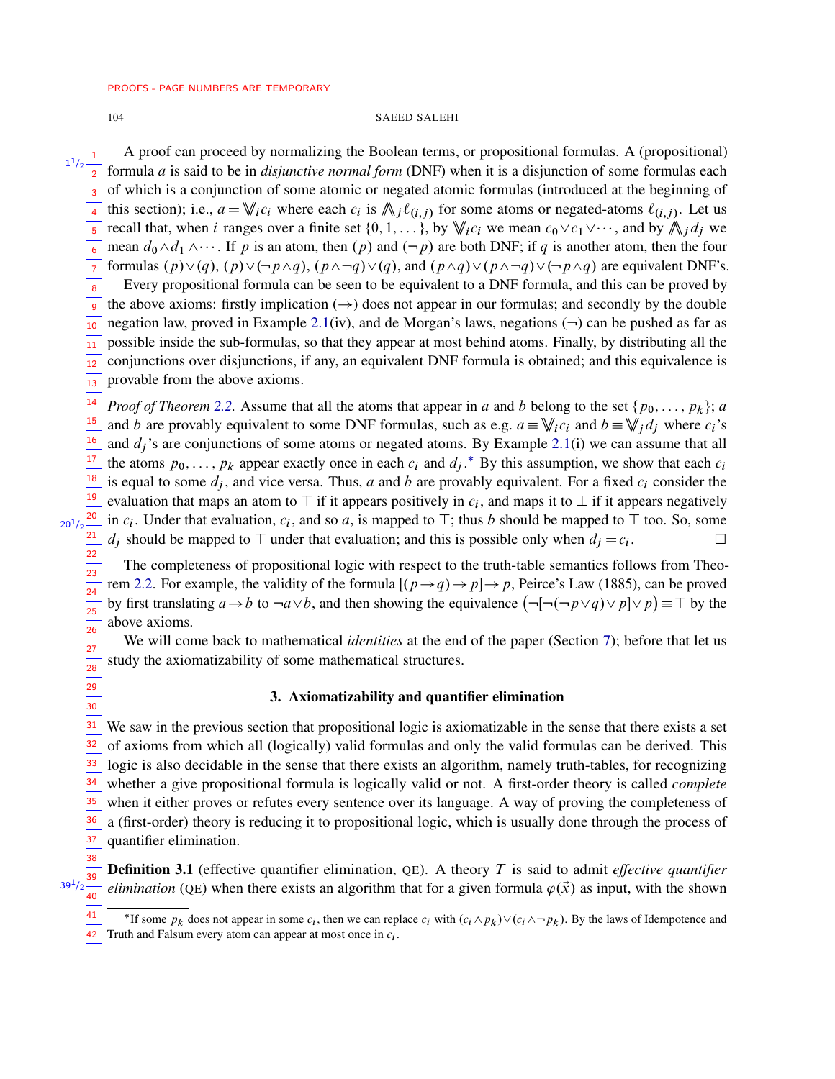38

# 104 SAEED SALEHI

A proof can proceed by normalizing the Boolean terms, or propositional formulas. A (propositional) formula a is said to be in *disjunctive normal form* (DNF) when it is a disjunction of some formulas each  $\overline{3}$  of which is a conjunction of some atomic or negated atomic formulas (introduced at the beginning of this section); i.e.,  $a = \mathbb{V}_i c_i$  where each  $c_i$  is  $\mathbb{N}_j \ell_{(i,j)}$  for some atoms or negated-atoms  $\ell_{(i,j)}$ . Let us recall that, when i ranges over a finite set  $\{0, 1, \ldots\}$ , by  $\mathbb{V}_i c_i$  we mean  $c_0 \vee c_1 \vee \cdots$ , and by  $\mathbb{V}_i d_j$  we mean  $d_0 \wedge d_1 \wedge \cdots$ . If p is an atom, then  $(p)$  and  $(\neg p)$  are both DNF; if q is another atom, then the four formulas  $(p)\vee(q)$ ,  $(p)\vee(\neg p\wedge q)$ ,  $(p\wedge\neg q)\vee(q)$ , and  $(p\wedge q)\vee(p\wedge\neg q)\vee(\neg p\wedge q)$  are equivalent DNF's. Every propositional formula can be seen to be equivalent to a DNF formula, and this can be proved by the above axioms: firstly implication  $(\rightarrow)$  does not appear in our formulas; and secondly by the double negation law, proved in Example [2.1\(](#page-2-0)iv), and de Morgan's laws, negations  $(\neg)$  can be pushed as far as possible inside the sub-formulas, so that they appear at most behind atoms. Finally, by distributing all the conjunctions over disjunctions, if any, an equivalent DNF formula is obtained; and this equivalence is provable from the above axioms. *Proof of Theorem [2.2.](#page-2-1)* Assume that all the atoms that appear in a and b belong to the set  $\{p_0, \ldots, p_k\}$ ; a and b are provably equivalent to some DNF formulas, such as e.g.  $a = \mathbb{V}_i c_i$  and  $b = \mathbb{V}_j d_j$  where  $c_i$ 's and  $d_i$ 's are conjunctions of some atoms or negated atoms. By Example [2.1\(](#page-2-0)i) we can assume that all the atoms  $p_0, \ldots, p_k$  appear exactly once in each  $c_i$  and  $d_j$ .<sup>\*</sup> By this assumption, we show that each  $c_i$ is equal to some  $d_j$ , and vice versa. Thus, a and b are provably equivalent. For a fixed  $c_i$  consider the evaluation that maps an atom to  $\top$  if it appears positively in  $c_i$ , and maps it to  $\bot$  if it appears negatively in  $c_i$ . Under that evaluation,  $c_i$ , and so a, is mapped to  $\top$ ; thus b should be mapped to  $\top$  too. So, some  $d_i$  should be mapped to  $\top$  under that evaluation; and this is possible only when  $d_i = c_i$ . . — П The completeness of propositional logic with respect to the truth-table semantics follows from Theo-1 1  $\frac{1}{2}$ 2 4 5 6 7 8  $\overline{9}$ 10 11 12  $\overline{13}$ 14 15 16 17 18 19 20  $20^{1}/2$ 21 22  $\frac{1}{23}$ 

rem [2.2.](#page-2-1) For example, the validity of the formula  $[(p \rightarrow q) \rightarrow p] \rightarrow p$ , Peirce's Law (1885), can be proved by first translating  $a \to b$  to  $\neg a \lor b$ , and then showing the equivalence  $(\neg [\neg (\neg p \lor q) \lor p] \lor p) \equiv \top$  by the above axioms. 24 25  $\frac{1}{26}$ 

We will come back to mathematical *identities* at the end of the paper (Section [7\)](#page-15-0); before that let us study the axiomatizability of some mathematical structures. 27 28

# 3. Axiomatizability and quantifier elimination

We saw in the previous section that propositional logic is axiomatizable in the sense that there exists a set of axioms from which all (logically) valid formulas and only the valid formulas can be derived. This logic is also decidable in the sense that there exists an algorithm, namely truth-tables, for recognizing whether a give propositional formula is logically valid or not. A first-order theory is called *complete* when it either proves or refutes every sentence over its language. A way of proving the completeness of a (first-order) theory is reducing it to propositional logic, which is usually done through the process of quantifier elimination.  $\frac{1}{31}$ 32 33 34 35 36 37

Definition 3.1 (effective quantifier elimination, QE). A theory T is said to admit *effective quantifier elimination* (QE) when there exists an algorithm that for a given formula  $\varphi(\vec{x})$  as input, with the shown 39  $39^{1}/2$ 40

42 Truth and Falsum every atom can appear at most once in  $c_i$ .

<span id="page-3-0"></span><sup>&</sup>lt;sup>\*</sup>If some  $p_k$  does not appear in some  $c_i$ , then we can replace  $c_i$  with  $(c_i \wedge p_k) \vee (c_i \wedge \neg p_k)$ . By the laws of Idempotence and 41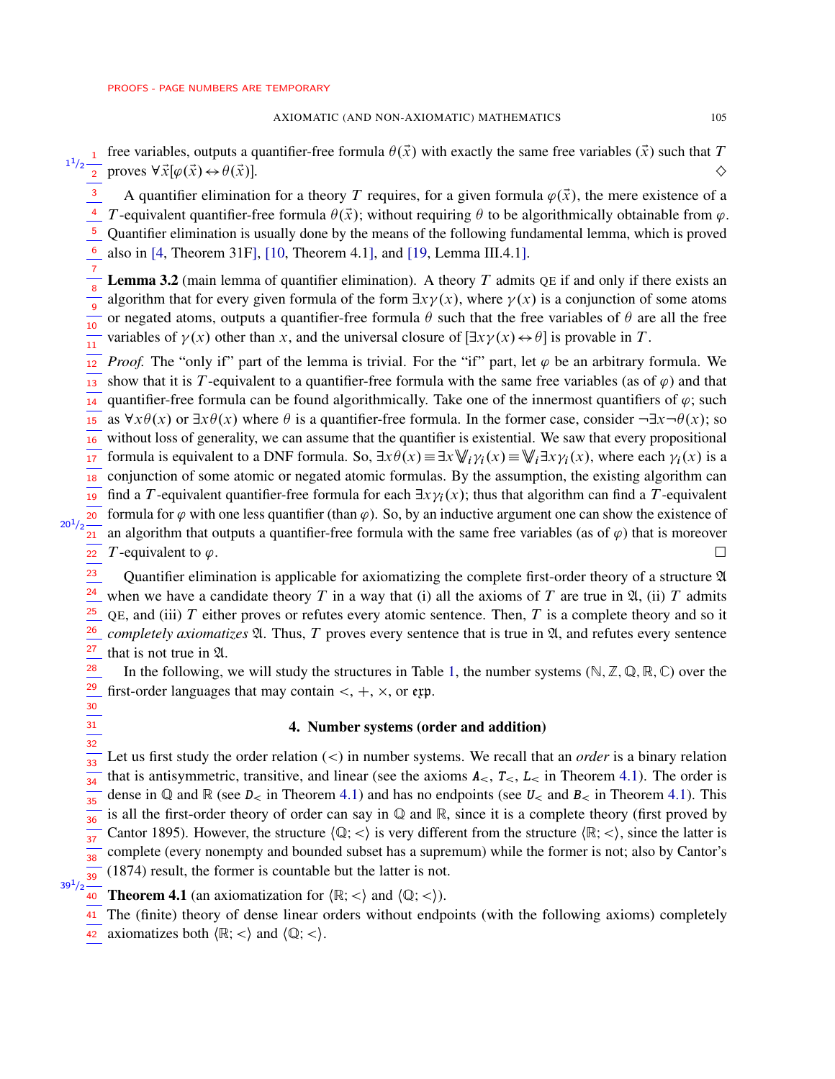## AXIOMATIC (AND NON-AXIOMATIC) MATHEMATICS 105

free variables, outputs a quantifier-free formula  $\theta(\vec{x})$  with exactly the same free variables  $(\vec{x})$  such that T  $1^{1/2}$  increases a proves  $\forall \vec{x}[\varphi(\vec{x}) \leftrightarrow \theta(\vec{x})]$ .

A quantifier elimination for a theory T requires, for a given formula  $\varphi(\vec{x})$ , the mere existence of a T-equivalent quantifier-free formula  $\theta(\vec{x})$ ; without requiring  $\theta$  to be algorithmically obtainable from  $\varphi$ . Quantifier elimination is usually done by the means of the following fundamental lemma, which is proved also in [\[4,](#page-18-2) Theorem 31F], [\[10,](#page-18-3) Theorem 4.1], and [\[19,](#page-19-0) Lemma III.4.1]. 3 4 5 6

<span id="page-4-1"></span>**Lemma 3.2** (main lemma of quantifier elimination). A theory T admits QE if and only if there exists an algorithm that for every given formula of the form  $\exists x \gamma(x)$ , where  $\gamma(x)$  is a conjunction of some atoms or negated atoms, outputs a quantifier-free formula  $\theta$  such that the free variables of  $\theta$  are all the free variables of  $\gamma(x)$  other than x, and the universal closure of  $[\exists x \gamma(x) \leftrightarrow \theta]$  is provable in T. 7 8 9  $\frac{1}{10}$  $\frac{1}{11}$ 

*Proof.* The "only if" part of the lemma is trivial. For the "if" part, let  $\varphi$  be an arbitrary formula. We show that it is T-equivalent to a quantifier-free formula with the same free variables (as of  $\varphi$ ) and that quantifier-free formula can be found algorithmically. Take one of the innermost quantifiers of  $\varphi$ ; such as  $\forall x \theta(x)$  or  $\exists x \theta(x)$  where  $\theta$  is a quantifier-free formula. In the former case, consider  $\neg \exists x \neg \theta(x)$ ; so without loss of generality, we can assume that the quantifier is existential. We saw that every propositional formula is equivalent to a DNF formula. So,  $\exists x \theta(x) \equiv \exists x \mathbb{V}_i \gamma_i(x) \equiv \mathbb{V}_i \exists x \gamma_i(x)$ , where each  $\gamma_i(x)$  is a conjunction of some atomic or negated atomic formulas. By the assumption, the existing algorithm can find a T-equivalent quantifier-free formula for each  $\exists x \gamma_i(x)$ ; thus that algorithm can find a T-equivalent formula for  $\varphi$  with one less quantifier (than  $\varphi$ ). So, by an inductive argument one can show the existence of an algorithm that outputs a quantifier-free formula with the same free variables (as of  $\varphi$ ) that is moreover T-equivalent to  $\varphi$ . 12 13 14 15 16 17 18 19  $20<sup>2</sup>$  $20<sup>1</sup>/2$ 21 22

Quantifier elimination is applicable for axiomatizing the complete first-order theory of a structure A when we have a candidate theory T in a way that (i) all the axioms of T are true in  $\mathfrak{A}$ , (ii) T admits QE, and (iii)  $T$  either proves or refutes every atomic sentence. Then,  $T$  is a complete theory and so it *completely axiomatizes*  $\mathfrak{A}$ . Thus, T proves every sentence that is true in  $\mathfrak{A}$ , and refutes every sentence that is not true in  $\mathfrak A$ . 23 24 25 26 27

In the following, we will study the structures in Table [1,](#page-0-0) the number systems ( $\mathbb{N}, \mathbb{Z}, \mathbb{Q}, \mathbb{R}, \mathbb{C}$ ) over the first-order languages that may contain  $\lt, +, \times$ , or exp. 28 29

# 4. Number systems (order and addition)

Let us first study the order relation (<) in number systems. We recall that an *order* is a binary relation that is antisymmetric, transitive, and linear (see the axioms  $A_{\leq}$ ,  $T_{\leq}$ ,  $L_{\leq}$  in Theorem [4.1\)](#page-4-0). The order is dense in  $\mathbb Q$  and  $\mathbb R$  (see  $D_{\leq}$  in Theorem [4.1\)](#page-4-0) and has no endpoints (see  $U_{\leq}$  and  $B_{\leq}$  in Theorem 4.1). This is all the first-order theory of order can say in Q and R, since it is a complete theory (first proved by Cantor 1895). However, the structure  $\langle \mathbb{Q}; \langle \rangle$  is very different from the structure  $\langle \mathbb{R}; \langle \rangle$ , since the latter is complete (every nonempty and bounded subset has a supremum) while the former is not; also by Cantor's (1874) result, the former is countable but the latter is not.  $\frac{1}{33}$ 34  $\frac{1}{35}$ 36 37 38 39

 $39^{1}/2$ 

30 31  $\frac{1}{32}$ 

- <span id="page-4-0"></span>**Theorem 4.1** (an axiomatization for  $\langle \mathbb{R}; < \rangle$  and  $\langle \mathbb{Q}; < \rangle$ ).
- The (finite) theory of dense linear orders without endpoints (with the following axioms) completely 41
- $\overline{42}$  axiomatizes both  $\langle \mathbb{R}; < \rangle$  and  $\langle \mathbb{Q}; < \rangle$ .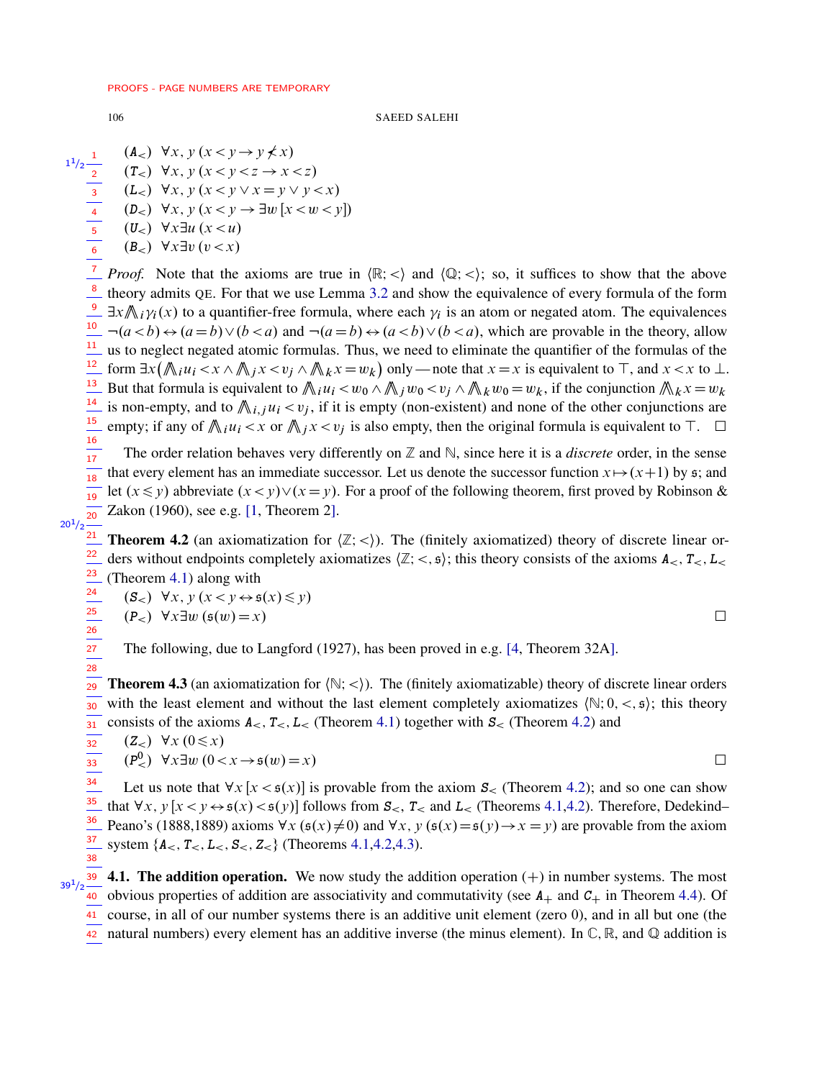## 106 SAEED SALEHI

$$
\begin{array}{ccc}\n\frac{1}{2} & (A <) & \forall x, y \ (x < y \rightarrow y \nless x) \\
\frac{1}{2} & (T <) & \forall x, y \ (x < y < z \rightarrow x < z) \\
\hline\n& (L <) & \forall x, y \ (x < y \lor x = y \lor y < x) \\
\hline\n& (D <) & \forall x, y \ (x < y \rightarrow \exists w \ [x < w < y]) \\
\hline\n& (U <) & \forall x \exists u \ (x < u) \\
\hline\n& (B <) & \forall x \exists v \ (v < x)\n\end{array}
$$

*Proof.* Note that the axioms are true in  $\langle \mathbb{R}; \langle \rangle$  and  $\langle \mathbb{Q}; \langle \rangle$ ; so, it suffices to show that the above theory admits QE. For that we use Lemma [3.2](#page-4-1) and show the equivalence of every formula of the form  $\exists x \mathcal{N}_i \gamma_i(x)$  to a quantifier-free formula, where each  $\gamma_i$  is an atom or negated atom. The equivalences  $\frac{10}{\sqrt{a}}$   $\neg(a < b) \leftrightarrow (a = b) \vee (b < a)$  and  $\neg(a = b) \leftrightarrow (a < b) \vee (b < a)$ , which are provable in the theory, allow us to neglect negated atomic formulas. Thus, we need to eliminate the quantifier of the formulas of the form  $\exists x (\text{min}(x_i - x \land \text{min}(x_i - x_i)) \land (x_i - x_i - x_i))$  only — note that  $x = x$  is equivalent to  $\top$ , and  $x < x$  to  $\bot$ . But that formula is equivalent to  $\sin u_i < u_0 \wedge \sin u_0 < u_j \wedge \sin u_0 = u_k$ , if the conjunction  $\sin u_k = u_k$ is non-empty, and to  $\bigwedge_{i,j} u_i < v_j$ , if it is empty (non-existent) and none of the other conjunctions are empty; if any of  $\bigwedge_i u_i < x$  or  $\bigwedge_j x < v_j$  is also empty, then the original formula is equivalent to  $\top$ .  $\Box$ 7 8 9 11 12 13 14 15 16

The order relation behaves very differently on  $\mathbb Z$  and  $\mathbb N$ , since here it is a *discrete* order, in the sense that every element has an immediate successor. Let us denote the successor function  $x \mapsto (x+1)$  by  $\mathfrak{s}$ ; and let  $(x \le y)$  abbreviate  $(x < y) \vee (x = y)$ . For a proof of the following theorem, first proved by Robinson & Zakon (1960), see e.g. [\[1,](#page-18-0) Theorem 2].  $\frac{1}{17}$  $\frac{1}{18}$ 19 20

# $20<sup>1</sup>/2$

32 33

<span id="page-5-0"></span>**Theorem 4.2** (an axiomatization for  $\langle \mathbb{Z}; \langle \cdot \rangle$ ). The (finitely axiomatized) theory of discrete linear orders without endpoints completely axiomatizes  $\langle \mathbb{Z}; \langle \mathbf{S} \rangle$ ; this theory consists of the axioms  $\mathbf{A}_{\leq}$ ,  $\mathbf{T}_{\leq}$ ,  $\mathbf{L}_{\leq}$ (Theorem [4.1\)](#page-4-0) along with 21 22 23

$$
\begin{aligned} &\textbf{(S}_{<} \textbf{)} \ \forall x, \, y \, (x < y \leftrightarrow \mathfrak{s}(x) \le y) \\ &\textbf{(P}_{<} \textbf{)} \ \forall x \exists w \, (\mathfrak{s}(w) = x) \end{aligned} \qquad \qquad \Box
$$

<span id="page-5-1"></span>The following, due to Langford (1927), has been proved in e.g. [\[4,](#page-18-2) Theorem 32A].

**Theorem 4.3** (an axiomatization for  $(\mathbb{N}; <)$ ). The (finitely axiomatizable) theory of discrete linear orders with the least element and without the last element completely axiomatizes  $\langle \mathbb{N}; 0, \langle , \mathbb{S} \rangle$ ; this theory consists of the axioms  $A_{<} T_{<} L_{<}$  (Theorem [4.1\)](#page-4-0) together with  $S_{<}$  (Theorem [4.2\)](#page-5-0) and  $\frac{1}{29}$ 30  $\frac{1}{31}$ 

$$
\begin{bmatrix}\n (Z_{<})\ \forall x\ (0\leq x) \\
 (P_{<}^0)\ \forall x\exists w\ (0< x\rightarrow \mathfrak{s}(w)=x)\n\end{bmatrix}
$$

Let us note that  $\forall x$  [ $x < \xi(x)$ ] is provable from the axiom  $S<$  (Theorem [4.2\)](#page-5-0); and so one can show that  $\forall x, y \ [x \prec y \leftrightarrow \mathfrak{s}(x) \prec \mathfrak{s}(y)]$  follows from  $\mathcal{S}_{\leq}$ ,  $\mathcal{T}_{\leq}$  and  $L_{\leq}$  (Theorems [4.1,](#page-4-0)[4.2\)](#page-5-0). Therefore, Dedekind– Peano's (1888,1889) axioms  $\forall x$  ( $\mathfrak{s}(x) \neq 0$ ) and  $\forall x$ ,  $y$  ( $\mathfrak{s}(x) = \mathfrak{s}(y) \rightarrow x = y$ ) are provable from the axiom system  $\{A_<, T_<, B_<, Z_< \}$  (Theorems [4.1](#page-4-0)[,4.2,](#page-5-0)[4.3\)](#page-5-1). 34 35 36 37 38

**4.1. The addition operation.** We now study the addition operation  $(+)$  in number systems. The most 40 obvious properties of addition are associativity and commutativity (see  $A_+$  and  $C_+$  in Theorem [4.4\)](#page-6-0). Of course, in all of our number systems there is an additive unit element (zero 0), and in all but one (the natural numbers) every element has an additive inverse (the minus element). In  $\mathbb{C}, \mathbb{R}$ , and  $\mathbb{Q}$  addition is  $39^{1}/2$ 41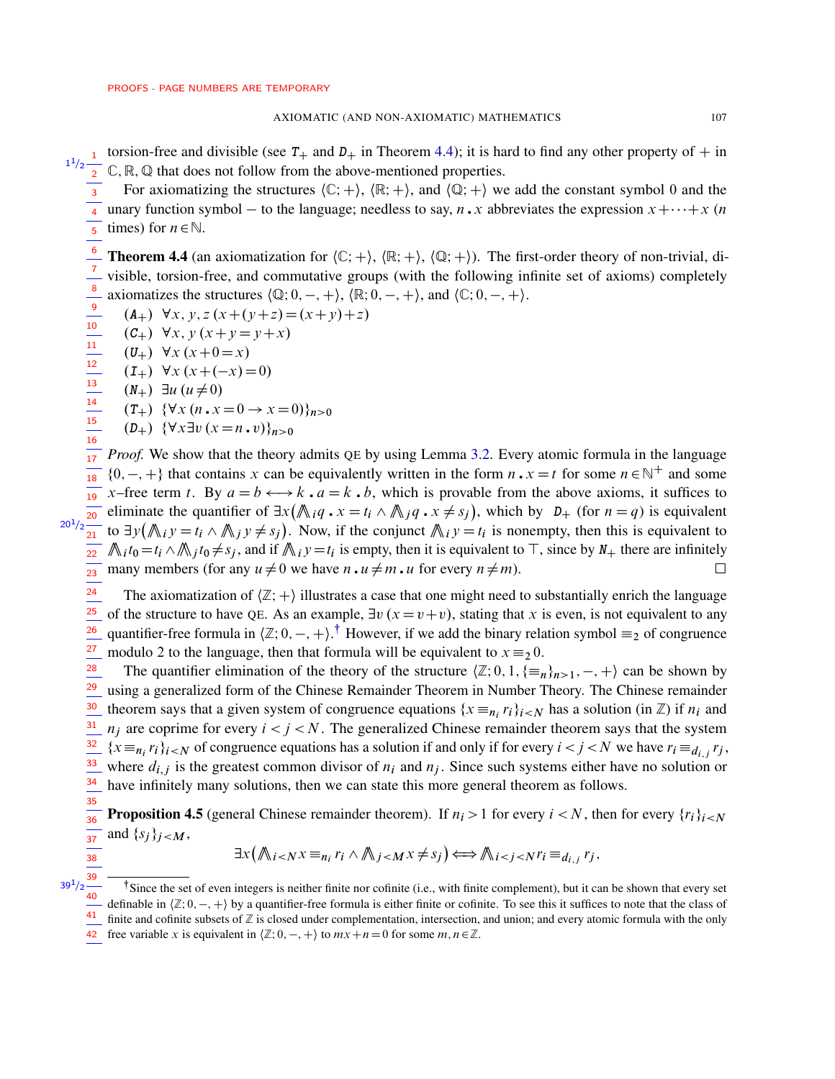torsion-free and divisible (see  $T_+$  and  $D_+$  in Theorem [4.4\)](#page-6-0); it is hard to find any other property of  $+$  in  $1^{1/2}$   $\frac{1}{2}$  C, R, Q that does not follow from the above-mentioned properties.

For axiomatizing the structures  $\langle \mathbb{C}; + \rangle$ ,  $\langle \mathbb{R}; + \rangle$ , and  $\langle \mathbb{Q}; + \rangle$  we add the constant symbol 0 and the unary function symbol – to the language; needless to say, n. x abbreviates the expression  $x + \cdots + x$  (n times) for  $n \in \mathbb{N}$ . 3 4 5

<span id="page-6-0"></span>**Theorem 4.4** (an axiomatization for  $\langle \mathbb{C}; + \rangle$ ,  $\langle \mathbb{R}; + \rangle$ ,  $\langle \mathbb{Q}; + \rangle$ ). The first-order theory of non-trivial, divisible, torsion-free, and commutative groups (with the following infinite set of axioms) completely axiomatizes the structures  $\langle \mathbb{Q}; 0, -, + \rangle$ ,  $\langle \mathbb{R}; 0, -, + \rangle$ , and  $\langle \mathbb{C}; 0, -, + \rangle$ . 6 7 8

- $(A_+)$   $\forall x, y, z (x+(y+z)=(x+y)+z)$ 9
- $(C_+) \forall x, y (x+y=y+x)$ 10

 $(U_+)$   $\forall x (x+0=x)$ 11

- $(I_+)$   $\forall x (x + (-x) = 0)$ 12
- $(N_{+})$   $\exists u \ (u \neq 0)$ 13

14 15 16

<span id="page-6-1"></span>38 39

$$
(T_{+}) \ \{\forall x \ (n \cdot x = 0 \to x = 0)\}_{n>0}
$$

 $(D_+)$   $\{\forall x \exists v (x = n \cdot v)\}_{n>0}$ 

*Proof.* We show that the theory admits QE by using Lemma [3.2.](#page-4-1) Every atomic formula in the language  $\{0, -, +\}$  that contains x can be equivalently written in the form  $n \cdot x = t$  for some  $n \in \mathbb{N}^+$  and some  $\overline{a_1}$  x-free term t. By  $a = b \leftrightarrow k \cdot a = k \cdot b$ , which is provable from the above axioms, it suffices to eliminate the quantifier of  $\exists x (\mathbb{A}_{i} q \cdot x = t_i \wedge \mathbb{A}_{j} q \cdot x \neq s_j)$ , which by  $D_+$  (for  $n = q$ ) is equivalent to  $\exists y (\mathcal{N}_{i} y = t_{i} \wedge \mathcal{N}_{j} y \neq s_{j}).$  Now, if the conjunct  $\mathcal{N}_{i} y = t_{i}$  is nonempty, then this is equivalent to  $\mathcal{N}_i t_0 = t_i \wedge \mathcal{N}_j t_0 \neq s_j$ , and if  $\mathcal{N}_i y = t_i$  is empty, then it is equivalent to  $\top$ , since by  $N_+$  there are infinitely many members (for any  $u \neq 0$  we have  $n \cdot u \neq m \cdot u$  for every  $n \neq m$ ).  $\frac{1}{17}$  $\overline{18}$ 20  $20^{1}/2$ 21 22  $\overline{23}$ 

The axiomatization of  $\langle \mathbb{Z}; + \rangle$  illustrates a case that one might need to substantially enrich the language of the structure to have QE. As an example,  $\exists v$  ( $x = v + v$ ), stating that x is even, is not equivalent to any quantifier-free formula in  $\langle \mathbb{Z}; 0, -, + \rangle$ .<sup>†</sup> However, if we add the binary relation symbol  $\equiv_2$  of congruence modulo 2 to the language, then that formula will be equivalent to  $x \equiv_2 0$ . 24  $\frac{1}{25}$ 26 27

The quantifier elimination of the theory of the structure  $\langle \mathbb{Z}; 0, 1, \{\equiv_n\}_{n>1}, -, +\rangle$  can be shown by using a generalized form of the Chinese Remainder Theorem in Number Theory. The Chinese remainder theorem says that a given system of congruence equations  $\{x \equiv_{n_i} r_i\}_{i \le N}$  has a solution (in  $\mathbb{Z}$ ) if  $n_i$  and  $n_j$  are coprime for every  $i < j < N$ . The generalized Chinese remainder theorem says that the system  $\{x \equiv_{n_i} r_i\}_{i \leq N}$  of congruence equations has a solution if and only if for every  $i \leq j \leq N$  we have  $r_i \equiv_{d_{i,j}} r_j$ , where  $d_{i,j}$  is the greatest common divisor of  $n_i$  and  $n_j$ . Since such systems either have no solution or have infinitely many solutions, then we can state this more general theorem as follows. 28 29 30 31 32 33 34 35

<span id="page-6-2"></span>**Proposition 4.5** (general Chinese remainder theorem). If  $n_i > 1$  for every  $i < N$ , then for every  $\{r_i\}_{i \le N}$ and  $\{s_j\}_{j\leq M}$ ,  $\frac{1}{36}$  $\frac{1}{37}$ 

$$
\exists x (\bigwedge_{i < N} x \equiv_{n_i} r_i \land \bigwedge_{j < M} x \neq s_j) \Longleftrightarrow \bigwedge_{i < j < N} r_i \equiv_{d_{i,j}} r_j,
$$

<sup>|</sup>Since the set of even integers is neither finite nor cofinite (i.e., with finite complement), but it can be shown that every set definable in  $\langle \mathbb{Z}, 0, -, + \rangle$  by a quantifier-free formula is either finite or cofinite. To see this it suffices to note that the class of  $39^{1}/2$ 40

finite and cofinite subsets of  $Z$  is closed under complementation, intersection, and union; and every atomic formula with the only 41

<sup>42</sup> free variable x is equivalent in  $\langle \mathbb{Z}; 0, -, + \rangle$  to  $mx+n=0$  for some  $m, n \in \mathbb{Z}$ .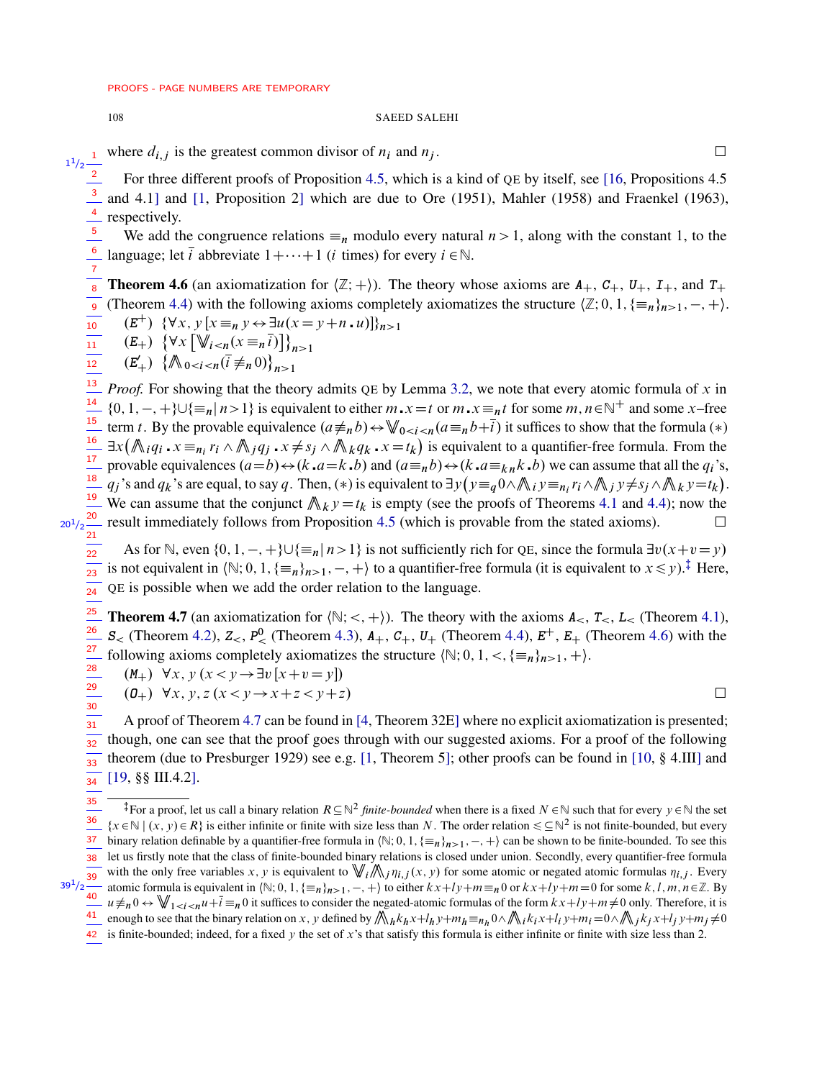## 108 SAEED SALEHI

 $1^{1/2}$  where  $d_{i,j}$  is the greatest common divisor of  $n_i$  and  $n_j$ .<br>  $\Box$ <br>
1<sup>1</sup>/2  $\frac{1}{2}$  For three different proofs of Proposition 4.5, which is a kind of OF by itself, see 116. Propositions 4.5

For three different proofs of Proposition [4.5,](#page-6-2) which is a kind of QE by itself, see [\[16,](#page-18-1) Propositions 4.5

and 4.1] and [\[1,](#page-18-0) Proposition 2] which are due to Ore (1951), Mahler (1958) and Fraenkel (1963), respectively. 3 4

We add the congruence relations  $\equiv_n$  modulo every natural  $n>1$ , along with the constant 1, to the language; let  $\overline{i}$  abbreviate  $1 + \cdots + 1$  (*i* times) for every  $i \in \mathbb{N}$ . 5 6

<span id="page-7-1"></span>**Theorem 4.6** (an axiomatization for  $\langle \mathbb{Z}; + \rangle$ ). The theory whose axioms are  $A_+$ ,  $C_+$ ,  $U_+$ ,  $I_+$ , and  $T_+$ (Theorem [4.4\)](#page-6-0) with the following axioms completely axiomatizes the structure  $\langle \mathbb{Z}; 0, 1, \{\equiv_n\}_{n>1}, -, +\rangle$ . 8 9

$$
\overline{10} \qquad (E^+) \ \ \{\forall x, y \ [x \equiv_n y \leftrightarrow \exists u (x = y + n \cdot u)]\}_{n>1}
$$

$$
\overline{11} \qquad (E_{+}) \ \left\{ \forall x \left[ \mathbb{V}_{i \le n} (x \equiv_{n} \overline{i}) \right] \right\}_{n>1}
$$

 $(E'_+) \{ \mathbb{A}_{0 \le i \le n} (\bar{i} \neq_n 0) \}_{n>1}$ 12

*Proof.* For showing that the theory admits QE by Lemma [3.2,](#page-4-1) we note that every atomic formula of  $x$  in  $\{0, 1, -, +\} \cup \{\equiv_n | n > 1\}$  is equivalent to either  $m \cdot x = t$  or  $m \cdot x =_n t$  for some  $m, n \in \mathbb{N}^+$  and some x–free term t. By the provable equivalence  $(a \neq_n b) \leftrightarrow \mathbb{W}_{0 \leq i \leq n} (a \equiv_n b + \overline{i})$  it suffices to show that the formula (\*)  $\exists x (\bigwedge_i q_i \cdot x \equiv_{n_i} r_i \wedge \bigwedge_j q_j \cdot x \neq s_j \wedge \bigwedge_k q_k \cdot x = t_k)$  is equivalent to a quantifier-free formula. From the provable equivalences  $(a=b) \leftrightarrow (k \cdot a=k \cdot b)$  and  $(a\equiv_n b) \leftrightarrow (k \cdot a\equiv_k n, k \cdot b)$  we can assume that all the  $q_i$ 's,  $q_j$ 's and  $q_k$ 's are equal, to say q. Then,  $(*)$  is equivalent to  $\exists y (y \equiv_q 0 \land \mathbb{A}_i y \equiv_{n_i} r_i \land \mathbb{A}_j y \neq s_j \land \mathbb{A}_k y = t_k)$ . <sup>19</sup> We can assume that the conjunct  $\mathcal{N}_k y = t_k$  is empty (see the proofs of Theorems [4.1](#page-4-0) and [4.4\)](#page-6-0); now the result immediately follows from Proposition [4.5](#page-6-2) (which is provable from the stated axioms).  $\Box$ 13 14 15  $\frac{1}{16}$  $\frac{1}{17}$ 18

 $20^{1}/2 \frac{20}{21}$ 

29 30

 $39^{1}/2$ 

As for N, even  $\{0, 1, -, +\} \cup \{\equiv_n | n > 1\}$  is not sufficiently rich for QE, since the formula  $\exists v(x+v=y)$ is not equivalent in  $\{\mathbb N; 0, 1, \{\equiv_n\}_{n>1}, -, +\}$  $\{\mathbb N; 0, 1, \{\equiv_n\}_{n>1}, -, +\}$  $\{\mathbb N; 0, 1, \{\equiv_n\}_{n>1}, -, +\}$  to a quantifier-free formula (it is equivalent to  $x \leq y$ ).<sup>‡</sup> Here, QE is possible when we add the order relation to the language.  $\frac{1}{22}$  $\frac{1}{23}$ 24

<span id="page-7-2"></span>**Theorem 4.7** (an axiomatization for  $\langle \mathbb{N}; <, + \rangle$ ). The theory with the axioms  $A_{\leq}$ ,  $T_{\leq}$ ,  $L_{\leq}$  (Theorem [4.1\)](#page-4-0), **S**ightarrow  $\mathbf{Z} = \mathbf{Z} \times \mathbf{Z}$  **EXECUTE:** (Theorem [4.3\)](#page-5-1),  $\mathbf{Z} + \mathbf{Z} + \mathbf{Z} + \mathbf{Z} + \mathbf{Z} + \mathbf{Z} + \mathbf{Z} + \mathbf{Z} + \mathbf{Z} + \mathbf{Z} + \mathbf{Z} + \mathbf{Z} + \mathbf{Z} + \mathbf{Z} + \mathbf{Z} + \mathbf{Z} + \mathbf{Z} + \mathbf{Z} + \mathbf{Z} + \mathbf{Z} + \mathbf{Z} + \mathbf{Z} + \math$ following axioms completely axiomatizes the structure  $\mathbb{N}; 0, 1, \leq \mathcal{F} = n\}_{n>1}, +\mathcal{F}$ .  $\frac{1}{25}$ 26 27 28

 $(M_+)$   $\forall x, y \ (x < y \rightarrow \exists v \ [x + v = y])$ 

$$
- (0+) \forall x, y, z (x < y \rightarrow x + z < y + z)
$$

A proof of Theorem [4.7](#page-7-2) can be found in [\[4,](#page-18-2) Theorem 32E] where no explicit axiomatization is presented; though, one can see that the proof goes through with our suggested axioms. For a proof of the following theorem (due to Presburger 1929) see e.g. [\[1,](#page-18-0) Theorem 5]; other proofs can be found in [\[10,](#page-18-3) § 4.III] and [\[19,](#page-19-0) §§ III.4.2]. 31  $\frac{1}{32}$ 33 34

<span id="page-7-0"></span><sup>‡</sup>For a proof, let us call a binary relation  $R\subseteq\mathbb{N}^2$  *finite-bounded* when there is a fixed  $N\in\mathbb{N}$  such that for every  $y\in\mathbb{N}$  the set  $\{x \in \mathbb{N} \mid (x, y) \in R\}$  is either infinite or finite with size less than N. The order relation  $\leq \mathbb{N}^2$  is not finite-bounded, but every binary relation definable by a quantifier-free formula in  $\langle \mathbb{N}; 0, 1, \{\equiv_n\}_{n>1}, -, +\rangle$  can be shown to be finite-bounded. To see this let us firstly note that the class of finite-bounded binary relations is closed under union. Secondly, every quantifier-free formula with the only free variables x, y is equivalent to  $\bigvee_i \bigwedge_j \eta_{i,j}(x, y)$  for some atomic or negated atomic formulas  $\eta_{i,j}$ . Every atomic formula is equivalent in  $\mathbb{N}; 0, 1, \{\equiv_n\}_{n>1}, -, +\}$  to either  $kx+ly+m \equiv_n 0$  or  $kx+ly+m = 0$  for some k, l, m,  $n \in \mathbb{Z}$ . By  $u \neq_{n} 0 \leftrightarrow \bigvee_{1 \leq i \leq n} u + \overline{i} \equiv_{n} 0$  it suffices to consider the negated-atomic formulas of the form  $kx+ly+m \neq 0$  only. Therefore, it is enough to see that the binary relation on x, y defined by  $\bigwedge_h k_h x + l_h y + m_h \equiv_{n_h} 0 \wedge \bigwedge_i k_i x + l_i y + m_i = 0 \wedge \bigwedge_j k_j x + l_j y + m_j \neq 0$ 35 36 37 38 39 40 41

42 is finite-bounded; indeed, for a fixed y the set of x's that satisfy this formula is either infinite or finite with size less than 2.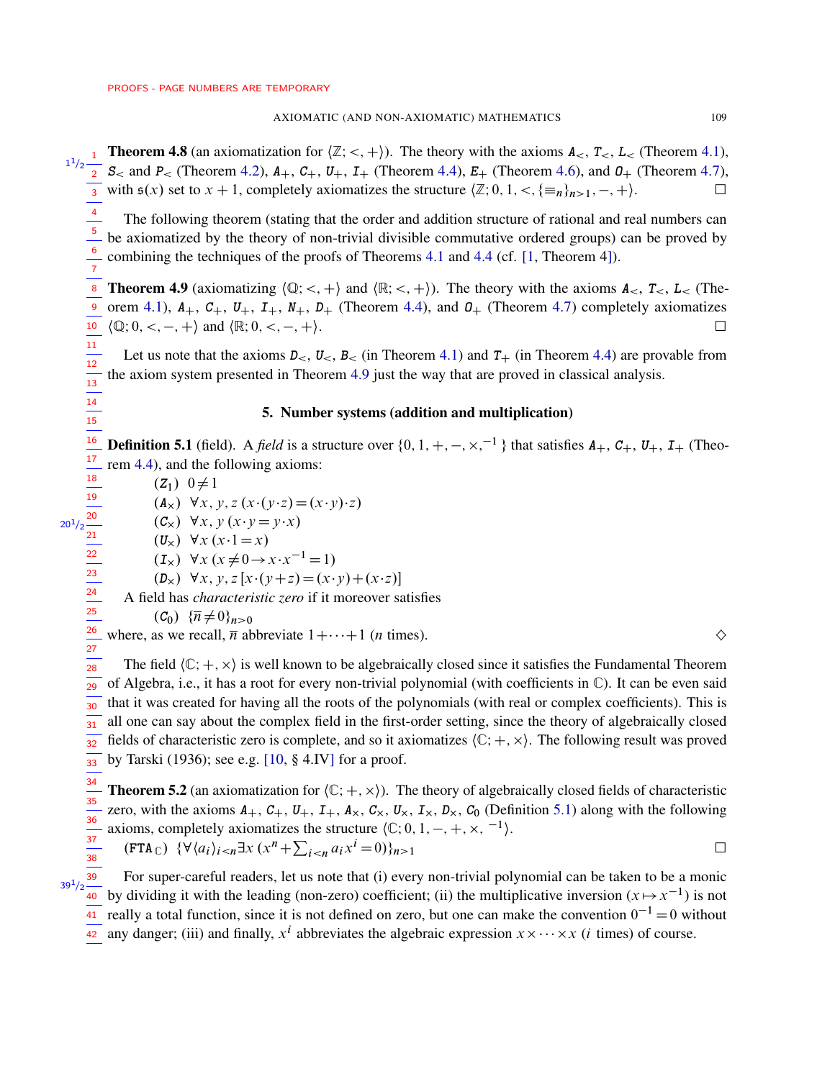27

 $39^{1}/2$ 

**Theorem 4.8** (an axiomatization for  $\langle \mathbb{Z}; <, + \rangle$ ). The theory with the axioms  $A_{\leq}$ ,  $T_{\leq}$ ,  $L_{\leq}$  (Theorem [4.1\)](#page-4-0),  $\frac{1^{1/2}-1}{2}$  **S**< and **P**< (Theorem [4.2\)](#page-5-0), **A**<sub>+</sub>, **C**<sub>+</sub>, **U**<sub>+</sub>, **I**<sub>+</sub> (Theorem [4.4\)](#page-6-0), **E**<sub>+</sub> (Theorem [4.6\)](#page-7-1), and **0**<sub>+</sub> (Theorem [4.7\)](#page-7-2), with  $s(x)$  set to  $x + 1$ , completely axiomatizes the structure  $\langle \mathbb{Z}; 0, 1, \langle \mathbb{R}^n \rangle_{n \geq 1}, -, + \rangle$ . 1 2 3

The following theorem (stating that the order and addition structure of rational and real numbers can be axiomatized by the theory of non-trivial divisible commutative ordered groups) can be proved by combining the techniques of the proofs of Theorems [4.1](#page-4-0) and [4.4](#page-6-0) (cf. [\[1,](#page-18-0) Theorem 4]). 4 5 6

<span id="page-8-0"></span>**Theorem 4.9** (axiomatizing  $\langle \mathbb{Q}; \langle \cdot, + \rangle$  and  $\langle \mathbb{R}; \langle \cdot, + \rangle$ ). The theory with the axioms  $A_{\leq}$ ,  $T_{\leq}$ ,  $L_{\leq}$  (The-orem [4.1\)](#page-4-0),  $A_+$ ,  $C_+$ ,  $U_+$ ,  $I_+$ ,  $N_+$ ,  $D_+$  (Theorem [4.4\)](#page-6-0), and  $D_+$  (Theorem [4.7\)](#page-7-2) completely axiomatizes 10  $\langle \mathbb{Q}; 0, \lt, , -, + \rangle$  and  $\langle \mathbb{R}; 0, \lt, , -, + \rangle$ . 8 9

Let us note that the axioms  $D_{<} U_{<} B_{<}$  (in Theorem [4.1\)](#page-4-0) and  $T_{+}$  (in Theorem [4.4\)](#page-6-0) are provable from the axiom system presented in Theorem [4.9](#page-8-0) just the way that are proved in classical analysis. 11

# 5. Number systems (addition and multiplication)

<span id="page-8-1"></span>**Definition 5.1** (field). A *field* is a structure over  $\{0, 1, +, -, \times, ^{-1}\}$  that satisfies  $A_+$ ,  $C_+$ ,  $U_+$ ,  $I_+$  (Theorem [4.4\)](#page-6-0), and the following axioms: 16 17

 $(Z_1)$  0 $\neq$ 1  $(A_x) \forall x, y, z(x \cdot (y \cdot z) = (x \cdot y) \cdot z)$  $(C_x) \forall x, y (x \cdot y = y \cdot x)$  $(U_x) \forall x (x \cdot 1 = x)$  $(I_x) \ \forall x (x \neq 0 \rightarrow x \cdot x^{-1} = 1)$ 

 $(D_x) \forall x, y, z [x \cdot (y + z) = (x \cdot y) + (x \cdot z)]$ 

A field has *characteristic zero* if it moreover satisfies

$$
(C_0) \ \{\overline{n} \neq 0\}_{n>0}
$$

where, as we recall,  $\overline{n}$  abbreviate  $1+\cdots+1$  (*n* times).  $\diamondsuit$ 26

The field  $\langle \mathbb{C}; +, \times \rangle$  is well known to be algebraically closed since it satisfies the Fundamental Theorem of Algebra, i.e., it has a root for every non-trivial polynomial (with coefficients in  $\mathbb{C}$ ). It can be even said that it was created for having all the roots of the polynomials (with real or complex coefficients). This is all one can say about the complex field in the first-order setting, since the theory of algebraically closed fields of characteristic zero is complete, and so it axiomatizes  $\langle \mathbb{C}; +, \times \rangle$ . The following result was proved by Tarski (1936); see e.g. [\[10,](#page-18-3) § 4.IV] for a proof. 28  $\frac{1}{29}$ 30  $\overline{31}$  $\frac{1}{32}$  $\overline{33}$ 

<span id="page-8-2"></span>**Theorem 5.2** (an axiomatization for  $\langle C; +, \times \rangle$ ). The theory of algebraically closed fields of characteristic zero, with the axioms  $A_+$ ,  $C_+$ ,  $U_+$ ,  $I_+$ ,  $A_\times$ ,  $C_\times$ ,  $U_\times$ ,  $I_\times$ ,  $D_\times$ ,  $C_0$  (Definition [5.1\)](#page-8-1) along with the following axioms, completely axiomatizes the structure  $\langle \mathbb{C}; 0, 1, -, +, \times, \{-1\} \rangle$ .  $(\texttt{FTA}_{\mathbb{C}}) \ \{\forall \langle a_i \rangle_{i \leq n} \exists x \ (x^n + \sum_{i \leq n} a_i x^i = 0) \}_{n>1}$ 34 35  $\frac{1}{36}$  $\frac{1}{37}$  $\frac{1}{38}$ 

For super-careful readers, let us note that (i) every non-trivial polynomial can be taken to be a monic by dividing it with the leading (non-zero) coefficient; (ii) the multiplicative inversion  $(x \mapsto x^{-1})$  is not really a total function, since it is not defined on zero, but one can make the convention  $0^{-1} = 0$  without 39 40 41

any danger; (iii) and finally,  $x^i$  abbreviates the algebraic expression  $x \times \cdots \times x$  (*i* times) of course.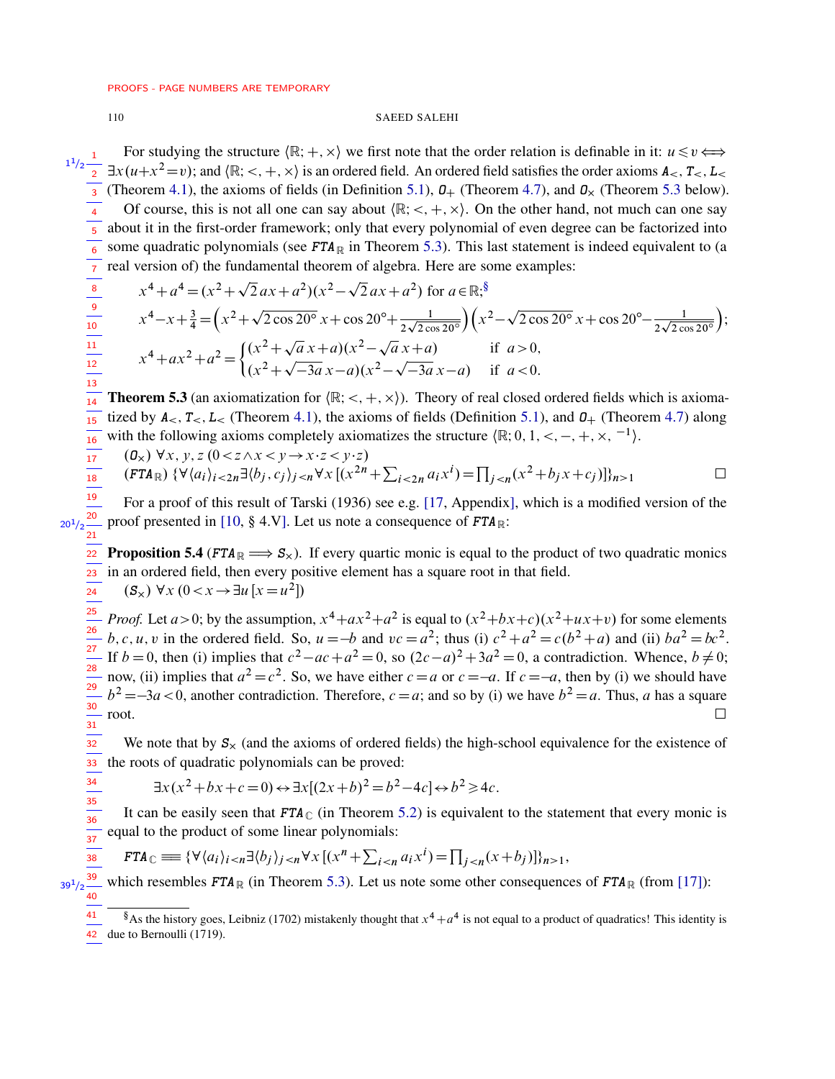## **SAEED SALEHI**

For studying the structure  $\langle \mathbb{R}; +, \times \rangle$  we first note that the order relation is definable in it:  $u \leq v \Leftrightarrow$  $\exists x(u+x^2=v)$ ; and  $\langle \mathbb{R}; \langle \cdot, +, \times \rangle$  is an ordered field. An ordered field satisfies the order axioms  $A_{\leq}, T_{\leq}, L_{\leq}$ (Theorem 4.1), the axioms of fields (in Definition 5.1),  $\mathcal{Q}_+$  (Theorem 4.7), and  $\mathcal{Q}_\times$  (Theorem 5.3 below). Of course, this is not all one can say about  $\langle \mathbb{R}; \langle +, \times \rangle$ . On the other hand, not much can one say about it in the first-order framework; only that every polynomial of even degree can be factorized into  $\begin{array}{c|c}\n\hline\n6 & 7 \\
\hline\n8 & 9 \\
\hline\n10 & 11 \\
\hline\n11 & 12 \\
\hline\n13\n\end{array}$ some quadratic polynomials (see  $FTA_{\mathbb{R}}$  in Theorem 5.3). This last statement is indeed equivalent to (a real version of) the fundamental theorem of algebra. Here are some examples:

$$
x^{4} + a^{4} = (x^{2} + \sqrt{2}ax + a^{2})(x^{2} - \sqrt{2}ax + a^{2}) \text{ for } a \in \mathbb{R}; \sqrt[8]{8}
$$
  
\n
$$
x^{4} - x + \frac{3}{4} = (x^{2} + \sqrt{2}\cos 20^{\circ}x + \cos 20^{\circ} + \frac{1}{2\sqrt{2}\cos 20^{\circ}})(x^{2} - \sqrt{2}\cos 20^{\circ}x + \cos 20^{\circ} - \frac{1}{2\sqrt{2}\cos 20^{\circ}});
$$
  
\n
$$
x^{4} + ax^{2} + a^{2} = \begin{cases} (x^{2} + \sqrt{a}x + a)(x^{2} - \sqrt{a}x + a) & \text{if } a > 0, \\ (x^{2} + \sqrt{-3a}x - a)(x^{2} - \sqrt{-3a}x - a) & \text{if } a < 0. \end{cases}
$$

<span id="page-9-0"></span> $\frac{1}{14}$ **Theorem 5.3** (an axiomatization for  $(\mathbb{R}; <, +, \times)$ ). Theory of real closed ordered fields which is axiomatized by  $A_{\leq}$ ,  $T_{\leq}$ ,  $L_{\leq}$  (Theorem 4.1), the axioms of fields (Definition 5.1), and  $O_{+}$  (Theorem 4.7) along  $\overline{15}$ with the following axioms completely axiomatizes the structure  $(\mathbb{R}; 0, 1, \leq, -, +, \times, ^{-1})$ .  $\frac{1}{16}$ 

$$
\frac{1}{17}
$$
\n(0<sub>x</sub>)  $\forall x, y, z$  (0<sub>0</sub>)  
\n(6<sub>x</sub>)  $\forall x, y, z$  (0<sub>0</sub>)  
\n(6<sub>x</sub>)  $\forall$  (6<sub>x</sub>)<sub>t</sub>  $\forall$  (6<sub>0</sub>)<sub>t</sub>  $\forall$ 

$$
(0x) \forall x, y, z (0 < z \land x < y \rightarrow x \cdot z < y \cdot z)
$$
  
(**FTA**<sub>R</sub>) { $\forall$   $\langle a_i \rangle_{i < 2n} \exists$   $\langle b_j, c_j \rangle_{j < n} \forall x [(x^{2n} + \sum_{i < 2n} a_i x^i) = \prod_{j < n} (x^2 + b_j x + c_j)] \rangle_{n > 1}$ 

 $\frac{1}{19}$ For a proof of this result of Tarski (1936) see e.g. [17, Appendix], which is a modified version of the  $\frac{1}{20^{1/2}}$   $\frac{20}{21}$ proof presented in [10, § 4.V]. Let us note a consequence of  $FTA_{\mathbb{R}}$ :

<span id="page-9-2"></span>**Proposition 5.4** (FTA<sub>R</sub>  $\implies$  S<sub>x</sub>). If every quartic monic is equal to the product of two quadratic monics  $22$ in an ordered field, then every positive element has a square root in that field. 23  $(S_x) \forall x (0 < x \rightarrow \exists u [x = u^2])$  $24$ 

 $\frac{1}{25}$ *Proof.* Let  $a > 0$ ; by the assumption,  $x^4 + ax^2 + a^2$  is equal to  $(x^2 + bx + c)(x^2 + ux + v)$  for some elements  $\frac{1}{26}$ b, c, u, v in the ordered field. So,  $u = -b$  and  $vc = a^2$ ; thus (i)  $c^2 + a^2 = c(b^2 + a)$  and (ii)  $ba^2 = bc^2$ .  $\frac{1}{27}$ If  $b = 0$ , then (i) implies that  $c^2 - ac + a^2 = 0$ , so  $(2c - a)^2 + 3a^2 = 0$ , a contradiction. Whence,  $b \neq 0$ ;  $\frac{1}{28}$ now, (ii) implies that  $a^2 = c^2$ . So, we have either  $c = a$  or  $c = -a$ . If  $c = -a$ , then by (i) we should have  $b^2 = -3a < 0$ , another contradiction. Therefore,  $c = a$ ; and so by (i) we have  $b^2 = a$ . Thus, a has a square  $30<sup>2</sup>$  $\Box$ root.  $\frac{1}{31}$ 

 $\frac{1}{32}$ We note that by  $S_{\times}$  (and the axioms of ordered fields) the high-school equivalence for the existence of  $33<sup>°</sup>$ the roots of quadratic polynomials can be proved:

$$
\exists x (x^2 + bx + c = 0) \leftrightarrow \exists x [(2x + b)^2 = b^2 - 4c] \leftrightarrow b^2 \ge 4c.
$$

 $\frac{34}{35}$   $\frac{35}{36}$ It can be easily seen that  $FTA_{\mathbb{C}}$  (in Theorem 5.2) is equivalent to the statement that every monic is equal to the product of some linear polynomials:  $\frac{1}{37}$ 

$$
\mathbf{FTA}_{\mathbb{C}} \equiv \{ \forall \langle a_i \rangle_{i < n} \exists \langle b_j \rangle_{j < n} \forall x \, [(x^n + \sum_{i < n} a_i x^i) = \prod_{j < n} (x + b_j)] \}_{n > 1},
$$

39 which resembles  $FTA_{\mathbb{R}}$  (in Theorem 5.3). Let us note some other consequences of  $FTA_{\mathbb{R}}$  (from [17]):  $39^{1}/2$ 

 $\frac{1}{38}$ 

<span id="page-9-1"></span><sup>&</sup>lt;sup>§</sup>As the history goes, Leibniz (1702) mistakenly thought that  $x^4 + a^4$  is not equal to a product of quadratics! This identity is 42 due to Bernoulli (1719).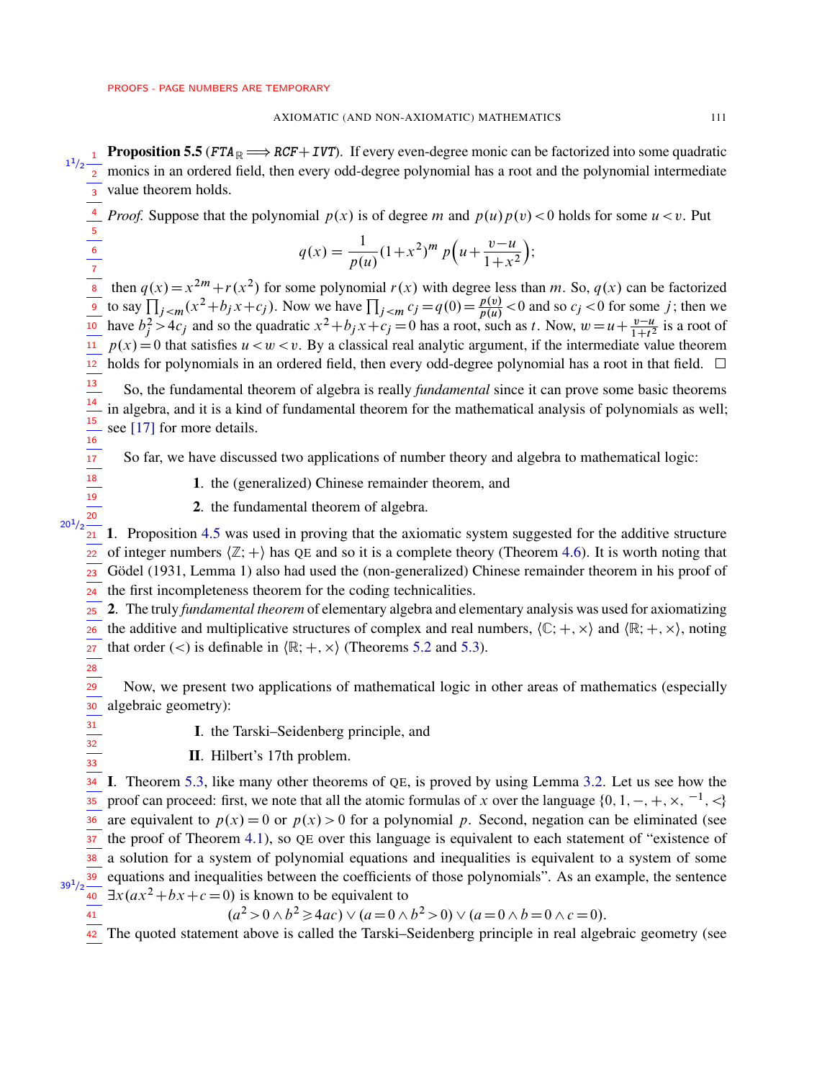**Proposition 5.5** ( $FTA \rightrightarrows RCF + IVT$ ). If every even-degree monic can be factorized into some quadratic monics in an ordered field, then every odd-degree polynomial has a root and the polynomial intermediate value theorem holds.  $1^{1}/2$   $\frac{1}{2}$ 3

*Proof.* Suppose that the polynomial  $p(x)$  is of degree m and  $p(u)p(v) < 0$  holds for some  $u < v$ . Put

$$
q(x) = \frac{1}{p(u)} (1+x^2)^m p\left(u + \frac{v-u}{1+x^2}\right);
$$

then  $q(x)=x$  $2m+r(x^2)$  for some polynomial  $r(x)$  with degree less than m. So,  $q(x)$  can be factorized to say  $\prod_{j \le m} (x^2 + b_j x + c_j)$ . Now we have  $\prod_{j \le m} c_j = q(0) = \frac{p(v)}{p(u)} < 0$  and so  $c_j < 0$  for some j; then we have  $b_j^2 > 4c_j$  and so the quadratic  $x^2 + b_jx + c_j = 0$  has a root, such as t. Now,  $w = u + \frac{v-u}{1+t^2}$  is a root of  $p(x) = 0$  that satisfies  $u < v < v$ . By a classical real analytic argument, if the intermediate value theorem  $12$  holds for polynomials in an ordered field, then every odd-degree polynomial has a root in that field.  $\Box$ 8 9 10 11

So, the fundamental theorem of algebra is really *fundamental* since it can prove some basic theorems in algebra, and it is a kind of fundamental theorem for the mathematical analysis of polynomials as well; see [\[17\]](#page-19-1) for more details. 13  $\frac{1}{14}$ 15 16

So far, we have discussed two applications of number theory and algebra to mathematical logic:

1. the (generalized) Chinese remainder theorem, and

2. the fundamental theorem of algebra.

 $21$  1. Proposition [4.5](#page-6-2) was used in proving that the axiomatic system suggested for the additive structure  $\overline{a_2}$  of integer numbers  $\langle \mathbb{Z}; + \rangle$  has QE and so it is a complete theory (Theorem [4.6\)](#page-7-1). It is worth noting that 23 Gödel (1931, Lemma 1) also had used the (non-generalized) Chinese remainder theorem in his proof of 24 the first incompleteness theorem for the coding technicalities.  $20^{1}/2$ 

2. The truly *fundamental theorem* of elementary algebra and elementary analysis was used for axiomatizing 25

the additive and multiplicative structures of complex and real numbers,  $\langle \mathbb{C}; +, \times \rangle$  and  $\langle \mathbb{R}; +, \times \rangle$ , noting that order (<) is definable in  $\langle \mathbb{R}; +, \times \rangle$  (Theorems [5.2](#page-8-2) and [5.3\)](#page-9-0). 26 27

28

 $\frac{1}{32}$  $\frac{1}{33}$ 

41

17  $\frac{1}{18}$  $\frac{1}{19}$ 20

Now, we present two applications of mathematical logic in other areas of mathematics (especially 30 algebraic geometry):  $\frac{1}{29}$  $\frac{1}{31}$ 

I. the Tarski–Seidenberg principle, and

II. Hilbert's 17th problem.

I. Theorem [5.3,](#page-9-0) like many other theorems of QE, is proved by using Lemma [3.2.](#page-4-1) Let us see how the proof can proceed: first, we note that all the atomic formulas of x over the language  $\{0, 1, -, +, \times, \{-1\}$ ,  $\langle\}$ are equivalent to  $p(x) = 0$  or  $p(x) > 0$  for a polynomial p. Second, negation can be eliminated (see the proof of Theorem [4.1\)](#page-4-0), so QE over this language is equivalent to each statement of "existence of a solution for a system of polynomial equations and inequalities is equivalent to a system of some equations and inequalities between the coefficients of those polynomials". As an example, the sentence 39  $\exists x (ax^2 + bx + c = 0)$  is known to be equivalent to 34 35 36 37 38  $39^{1}/2$ 40

 $(a^2 > 0 \land b^2 \ge 4ac) \lor (a = 0 \land b^2 > 0) \lor (a = 0 \land b = 0 \land c = 0).$ 

42 The quoted statement above is called the Tarski–Seidenberg principle in real algebraic geometry (see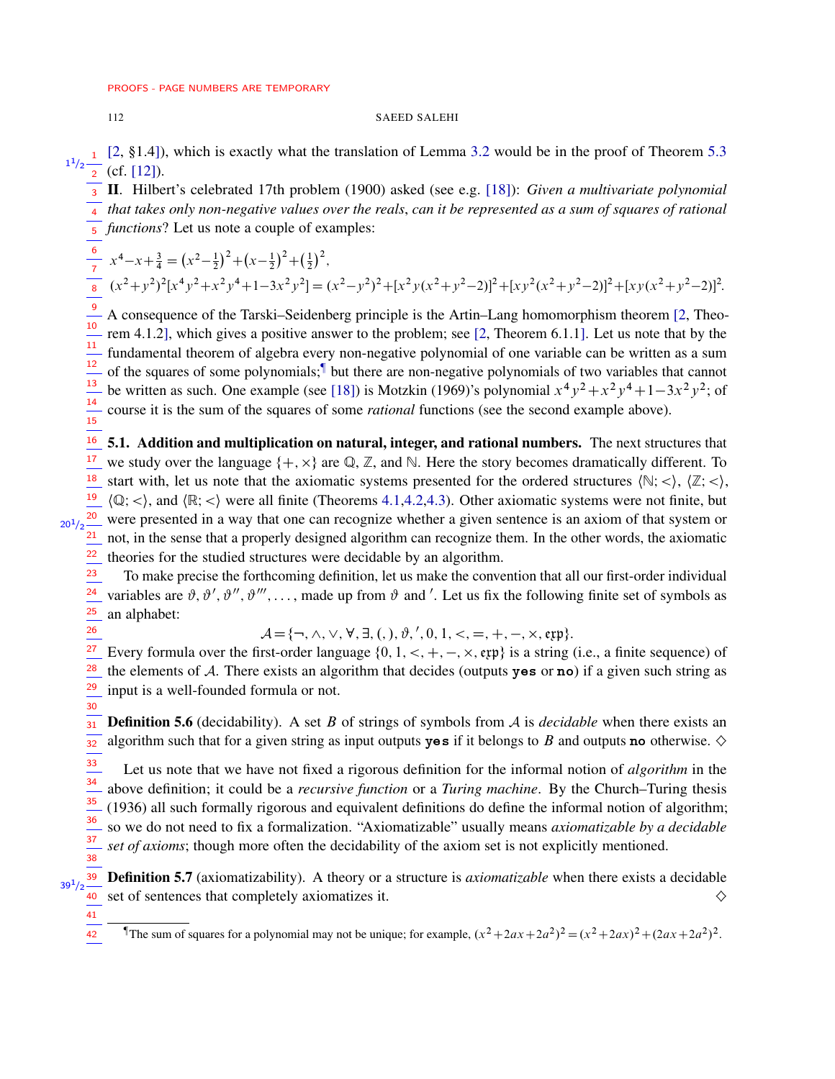$20^{1}/2$ 

26

 $\frac{1}{31}$ 32

41

#### 112 SAEED SALEHI

[\[2,](#page-18-4) §1.4]), which is exactly what the translation of Lemma [3.2](#page-4-1) would be in the proof of Theorem [5.3](#page-9-0) (cf. [\[12\]](#page-18-5)).  $1^{1}/2$   $\frac{1}{2}$ 

II. Hilbert's celebrated 17th problem (1900) asked (see e.g. [\[18\]](#page-19-2)): *Given a multivariate polynomial* 3 *that takes only non-negative values over the reals*, *can it be represented as a sum of squares of rational* 4  $\frac{1}{5}$  functions? Let us note a couple of examples:

 $x^4 - x + \frac{3}{4} = (x^2 - \frac{1}{2})^2 + (x - \frac{1}{2})^2 + (\frac{1}{2})^2$ ,  $(x^2+y^2)^2[x^4y^2+x^2y^4+1-3x^2y^2]=(x^2-y^2)^2+[x^2y(x^2+y^2-2)]^2+[xy^2(x^2+y^2-2)]^2+[xy(x^2+y^2-2)]^2$ 7 8

A consequence of the Tarski–Seidenberg principle is the Artin–Lang homomorphism theorem [\[2,](#page-18-4) Theorem 4.1.2], which gives a positive answer to the problem; see [\[2,](#page-18-4) Theorem 6.1.1]. Let us note that by the fundamental theorem of algebra every non-negative polynomial of one variable can be written as a sum of the squares of some polynomials;<sup>1</sup> but there are non-negative polynomials of two variables that cannot be written as such. One example (see [\[18\]](#page-19-2)) is Motzkin (1969)'s polynomial  $x^4y^2 + x^2y^4 + 1 - 3x^2y^2$ ; of course it is the sum of the squares of some *rational* functions (see the second example above). 9 10 11 12 13 14 15

 $16$  5.1. Addition and multiplication on natural, integer, and rational numbers. The next structures that we study over the language  $\{+, \times\}$  are  $\mathbb{Q}, \mathbb{Z}$ , and  $\mathbb{N}$ . Here the story becomes dramatically different. To start with, let us note that the axiomatic systems presented for the ordered structures  $(\mathbb{N}; <), (\mathbb{Z}; <),$  $\frac{19}{16}$  (Q; <), and (R; <) were all finite (Theorems [4.1,](#page-4-0)[4.2](#page-5-0)[,4.3\)](#page-5-1). Other axiomatic systems were not finite, but  $\frac{20}{20}$  were presented in a way that one can recognize whether a given sentence is an axiom of that system or not, in the sense that a properly designed algorithm can recognize them. In the other words, the axiomatic theories for the studied structures were decidable by an algorithm. 17 18 21 22

To make precise the forthcoming definition, let us make the convention that all our first-order individual variables are  $\vartheta$ ,  $\vartheta'$ ,  $\vartheta''$ ,  $\vartheta'''$ , ..., made up from  $\vartheta$  and '. Let us fix the following finite set of symbols as an alphabet: 23 24 25

 $A = \{\neg, \land, \lor, \forall, \exists, (,), \vartheta, ', 0, 1, <, =, +, -, \times, \text{exp}\}.$ 

Every formula over the first-order language  $\{0, 1, <, +, -, \times, \text{erp}\}\$  is a string (i.e., a finite sequence) of the elements of  $A$ . There exists an algorithm that decides (outputs yes or no) if a given such string as input is a well-founded formula or not. 27 28 29 30

**Definition 5.6** (decidability). A set B of strings of symbols from A is *decidable* when there exists an algorithm such that for a given string as input outputs yes if it belongs to B and outputs no otherwise.  $\diamond$ 

Let us note that we have not fixed a rigorous definition for the informal notion of *algorithm* in the above definition; it could be a *recursive function* or a *Turing machine*. By the Church–Turing thesis (1936) all such formally rigorous and equivalent definitions do define the informal notion of algorithm; so we do not need to fix a formalization. "Axiomatizable" usually means *axiomatizable by a decidable set of axioms*; though more often the decidability of the axiom set is not explicitly mentioned. 33  $\frac{1}{34}$ 35 36 37 38

<span id="page-11-0"></span>Definition 5.7 (axiomatizability). A theory or a structure is *axiomatizable* when there exists a decidable set of sentences that completely axiomatizes it.  $\Diamond$ 39  $39^{1}/2$ 40

<span id="page-11-1"></span>The sum of squares for a polynomial may not be unique; for example,  $(x^2 + 2ax + 2a^2)^2 = (x^2 + 2ax)^2 + (2ax + 2a^2)^2$ . 42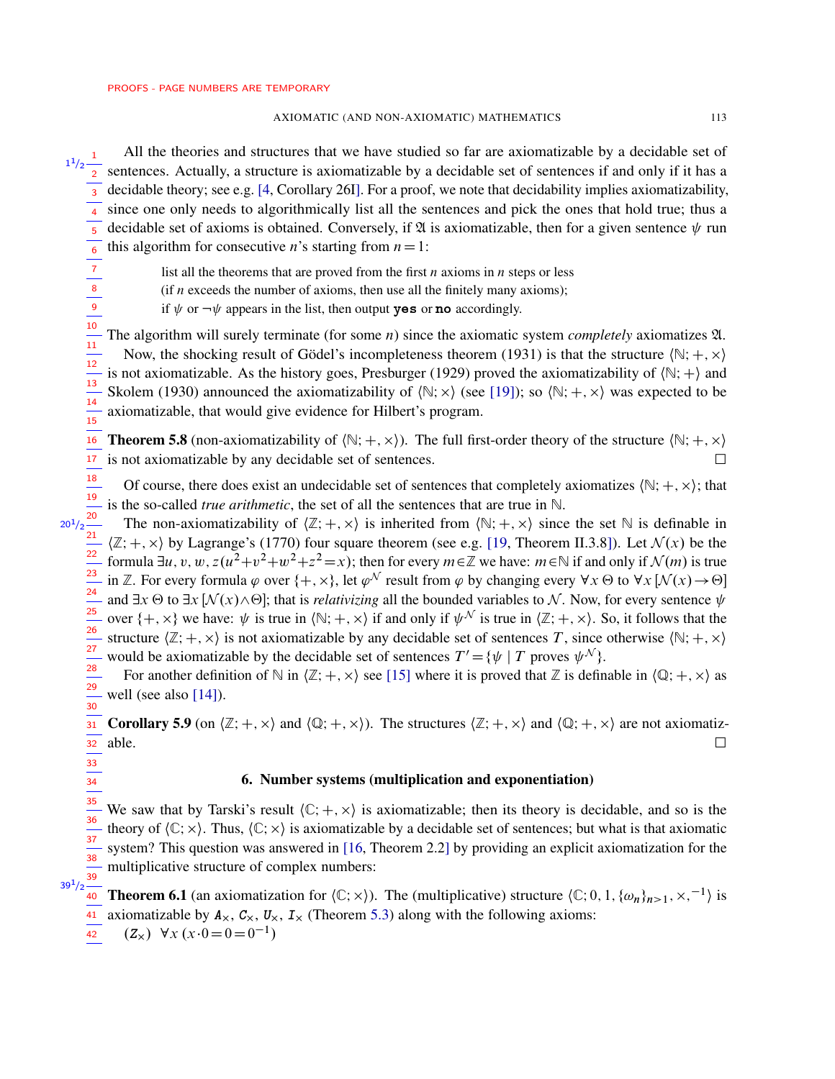All the theories and structures that we have studied so far are axiomatizable by a decidable set of sentences. Actually, a structure is axiomatizable by a decidable set of sentences if and only if it has a  $_3$  decidable theory; see e.g. [\[4,](#page-18-2) Corollary 26I]. For a proof, we note that decidability implies axiomatizability, since one only needs to algorithmically list all the sentences and pick the ones that hold true; thus a decidable set of axioms is obtained. Conversely, if  $\mathfrak A$  is axiomatizable, then for a given sentence  $\psi$  run this algorithm for consecutive *n*'s starting from  $n=1$ :  $1^{1}/2$   $\frac{1}{2}$ 4 5 6

list all the theorems that are proved from the first  $n$  axioms in  $n$  steps or less

(if  $n$  exceeds the number of axioms, then use all the finitely many axioms);

if  $\psi$  or  $\neg \psi$  appears in the list, then output **yes** or **no** accordingly.

The algorithm will surely terminate (for some *n*) since the axiomatic system *completely* axiomatizes  $\mathfrak{A}$ . Now, the shocking result of Gödel's incompleteness theorem (1931) is that the structure  $\langle N;+, \times \rangle$ is not axiomatizable. As the history goes, Presburger (1929) proved the axiomatizability of  $\langle N; + \rangle$  and Skolem (1930) announced the axiomatizability of  $\langle N; \times \rangle$  (see [\[19\]](#page-19-0)); so  $\langle N; +, \times \rangle$  was expected to be axiomatizable, that would give evidence for Hilbert's program. 10 11 12 13  $\frac{1}{14}$  $\frac{1}{15}$ 

<span id="page-12-2"></span>**Theorem 5.8** (non-axiomatizability of  $(\mathbb{N}; +, \times)$ ). The full first-order theory of the structure  $(\mathbb{N}; +, \times)$ is not axiomatizable by any decidable set of sentences.  $\Box$ 16 17

Of course, there does exist an undecidable set of sentences that completely axiomatizes  $(\mathbb{N}; +, \times)$ ; that is the so-called *true arithmetic*, the set of all the sentences that are true in N. 18 19

The non-axiomatizability of  $\langle \mathbb{Z}; +, \times \rangle$  is inherited from  $\langle \mathbb{N}; +, \times \rangle$  since the set N is definable in  $\langle \mathbb{Z}; +, \times \rangle$  by Lagrange's (1770) four square theorem (see e.g. [\[19,](#page-19-0) Theorem II.3.8]). Let  $\mathcal{N}(x)$  be the formula  $\exists u, v, w, z (u^2+v^2+w^2+z^2=x)$ ; then for every  $m \in \mathbb{Z}$  we have:  $m \in \mathbb{N}$  if and only if  $\mathcal{N}(m)$  is true in Z. For every formula  $\varphi$  over  $\{+, \times\}$ , let  $\varphi^{\mathcal{N}}$  result from  $\varphi$  by changing every  $\forall x \Theta$  to  $\forall x$   $[\mathcal{N}(x) \to \Theta]$ and  $\exists x \Theta$  to  $\exists x [N(x) \land \Theta]$ ; that is *relativizing* all the bounded variables to N. Now, for every sentence  $\psi$ over  $\{+, \times\}$  we have:  $\psi$  is true in  $\langle \mathbb{N}; +, \times \rangle$  if and only if  $\psi^{\mathcal{N}}$  is true in  $\langle \mathbb{Z}; +, \times \rangle$ . So, it follows that the structure  $\langle \mathbb{Z}; +, \times \rangle$  is not axiomatizable by any decidable set of sentences T, since otherwise  $\langle \mathbb{N}; +, \times \rangle$ would be axiomatizable by the decidable set of sentences  $T' = \{ \psi \mid T \text{ proves } \psi^{\mathcal{N}} \}.$  $20^{1}/2 \frac{20}{21}$ 22 23 24  $\frac{1}{25}$  $\frac{12}{26}$ 27

For another definition of  $\mathbb N$  in  $\langle \mathbb Z; +, \times \rangle$  see [\[15\]](#page-18-6) where it is proved that  $\mathbb Z$  is definable in  $\langle \mathbb Q; +, \times \rangle$  as well (see also [\[14\]](#page-18-7)). 28  $\frac{1}{29}$ 30

<span id="page-12-1"></span>**Corollary 5.9** (on  $\langle \mathbb{Z}; +, \times \rangle$  and  $\langle \mathbb{Q}; +, \times \rangle$ ). The structures  $\langle \mathbb{Z}; +, \times \rangle$  and  $\langle \mathbb{Q}; +, \times \rangle$  are not axiomatizable.  $\Box$  $\frac{1}{31}$ 32  $\frac{1}{33}$ 

# 6. Number systems (multiplication and exponentiation)

We saw that by Tarski's result  $\langle \mathbb{C}; +, \times \rangle$  is axiomatizable; then its theory is decidable, and so is the theory of  $\langle C; \times \rangle$ . Thus,  $\langle C; \times \rangle$  is axiomatizable by a decidable set of sentences; but what is that axiomatic system? This question was answered in [\[16,](#page-18-1) Theorem 2.2] by providing an explicit axiomatization for the multiplicative structure of complex numbers: 35 36  $\frac{1}{37}$ 38

39  $39^{1}/2$ 

 $\frac{30}{34}$ 

7 8 9

<span id="page-12-0"></span>**Theorem 6.1** (an axiomatization for  $\langle \mathbb{C}; \times \rangle$ ). The (multiplicative) structure  $\langle \mathbb{C}; 0, 1, \{\omega_n\}_{n>1}, \times, ^{-1}\rangle$  is axiomatizable by  $A_{\times}$ ,  $C_{\times}$ ,  $U_{\times}$ ,  $I_{\times}$  (Theorem [5.3\)](#page-9-0) along with the following axioms:  $(Z_{\times})$   $\forall x (x \cdot 0 = 0 = 0^{-1})$ 40 41 42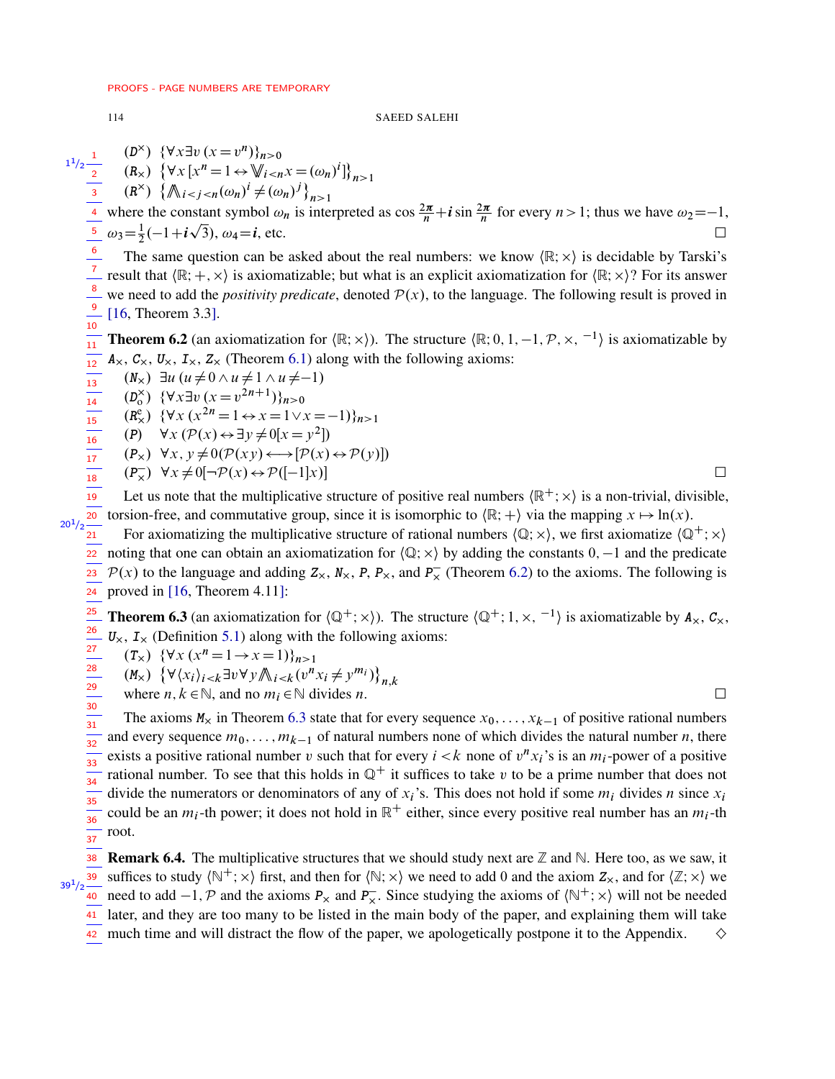<span id="page-13-0"></span> $10$ 

## **SAEED SALEHI**

$$
\frac{1^{1/2} \frac{1}{2}}{(R \times 1)^2} \frac{(D^{\times}) \{\forall x \exists v (x = v^n)\}_{n>0}}{(R \times 1)^2 \{\forall x [x^n = 1 \leftrightarrow \mathbb{W}_{i < n} x = (\omega_n)^i\}_{n>1}}
$$
\nwhere the constant symbol  $\omega_n$  is interpreted as  $\cos \frac{2\pi}{n} + i \sin \frac{2\pi}{n}$  for every  $n > 1$ ; thus we have  $\omega_2 = -1$ ,  
\n $\frac{5}{2} \omega_3 = \frac{1}{2}(-1 + i\sqrt{3}), \omega_4 = i$ , etc.  
\nThe same question can be asked about the real numbers: we know  $\langle \mathbb{R}; \times \rangle$  is decidable by Tarski's result that  $\langle \mathbb{R}; +, \times \rangle$  is axiomatizable; but what is an explicit axiomatization for  $\langle \mathbb{R}; \times \rangle$ ? For its answer we need to add the *positivity predicate*, denoted  $\mathcal{P}(x)$ , to the language. The following result is proved in

**Theorem 6.2** (an axiomatization for  $(\mathbb{R}; \times)$ ). The structure  $(\mathbb{R}; 0, 1, -1, \mathcal{P}, \times, -1)$  is axiomatizable by  $\overline{11}$  $A_{\times}$ ,  $C_{\times}$ ,  $U_{\times}$ ,  $I_{\times}$ ,  $Z_{\times}$  (Theorem 6.1) along with the following axioms:  $12$ 

 $(N_x)$   $\exists u \ (u \neq 0 \land u \neq 1 \land u \neq -1)$  $\frac{1}{13}$   $\frac{14}{15}$   $\frac{15}{16}$   $\frac{16}{17}$   $\frac{18}{18}$   $\frac{19}{19}$   $\frac{20}{21}$  $(D_0^{\times}) \ \{\forall x \exists v (x = v^{2n+1})\}_{n>0}$  $(R_{\gamma}^{e})$  { $\forall x (x^{2n} = 1 \leftrightarrow x = 1 \lor x = -1)$ }<sub>n>1</sub> (P)  $\forall x (\mathcal{P}(x) \leftrightarrow \exists y \neq 0 | x = y^2])$  $(P_x) \forall x, y \neq 0 (\mathcal{P}(xy) \longleftrightarrow [\mathcal{P}(x) \leftrightarrow \mathcal{P}(y)])$  $(P_x) \forall x \neq 0 \neg \mathcal{P}(x) \leftrightarrow \mathcal{P}([-1]x)$ 

Let us note that the multiplicative structure of positive real numbers  $(\mathbb{R}^+; \times)$  is a non-trivial, divisible, torsion-free, and commutative group, since it is isomorphic to  $\langle \mathbb{R}; + \rangle$  via the mapping  $x \mapsto \ln(x)$ .  $20^{1}/2$ 

For axiomatizing the multiplicative structure of rational numbers  $\langle \mathbb{Q}; \times \rangle$ , we first axiomatize  $\langle \mathbb{Q}^+; \times \rangle$ noting that one can obtain an axiomatization for  $\langle \mathbb{Q}; \times \rangle$  by adding the constants 0, -1 and the predicate  $\frac{1}{23}$  $\mathcal{P}(x)$  to the language and adding  $Z_x$ ,  $N_x$ ,  $P$ ,  $P_x$ , and  $P_x$  (Theorem 6.2) to the axioms. The following is  $24$ proved in  $[16,$  Theorem 4.11]:

<span id="page-13-1"></span> $\frac{25}{26}$   $\frac{26}{27}$   $\frac{27}{28}$   $\frac{29}{29}$   $\frac{30}{32}$   $\frac{31}{32}$ **Theorem 6.3** (an axiomatization for  $\langle \mathbb{Q}^+; \times \rangle$ ). The structure  $\langle \mathbb{Q}^+; 1, \times, -1 \rangle$  is axiomatizable by  $A_{\times}$ ,  $C_{\times}$ ,  $U_{\times}$ ,  $I_{\times}$  (Definition 5.1) along with the following axioms:

 $(T_{\times})$  { $\forall x (x^n = 1 \rightarrow x = 1)$ }<sub>n>1</sub>

 $(M_{\times}) \left\{ \forall \langle x_i \rangle_{i \leq k} \exists v \forall y \mathcal{N}_{i \leq k} (v^n x_i \neq y^{m_i}) \right\}_{n,k}$ 

where  $n, k \in \mathbb{N}$ , and no  $m_i \in \mathbb{N}$  divides n.

The axioms  $M_x$  in Theorem 6.3 state that for every sequence  $x_0, \ldots, x_{k-1}$  of positive rational numbers and every sequence  $m_0, \ldots, m_{k-1}$  of natural numbers none of which divides the natural number *n*, there exists a positive rational number v such that for every  $i < k$  none of  $v^n x_i$ 's is an  $m_i$ -power of a positive  $\frac{1}{33}$ rational number. To see that this holds in  $\mathbb{Q}^+$  it suffices to take v to be a prime number that does not  $\frac{1}{34}$   $\frac{34}{35}$ divide the numerators or denominators of any of  $x_i$ 's. This does not hold if some  $m_i$  divides n since  $x_i$ could be an  $m_i$ -th power; it does not hold in  $\mathbb{R}^+$  either, since every positive real number has an  $m_i$ -th  $\frac{1}{36}$  $\frac{1}{37}$ root.

38 **Remark 6.4.** The multiplicative structures that we should study next are  $\mathbb Z$  and  $\mathbb N$ . Here too, as we saw, it suffices to study  $(\mathbb{N}^+; \times)$  first, and then for  $(\mathbb{N}; \times)$  we need to add 0 and the axiom  $Z_{\times}$ , and for  $(\mathbb{Z}; \times)$  we 40 need to add  $-1$ , P and the axioms  $P_x$  and  $P_x$ . Since studying the axioms of  $(\mathbb{N}^+; \times)$  will not be needed later, and they are too many to be listed in the main body of the paper, and explaining them will take

42 much time and will distract the flow of the paper, we apologetically postpone it to the Appendix.

 $\Box$ 

 $\Box$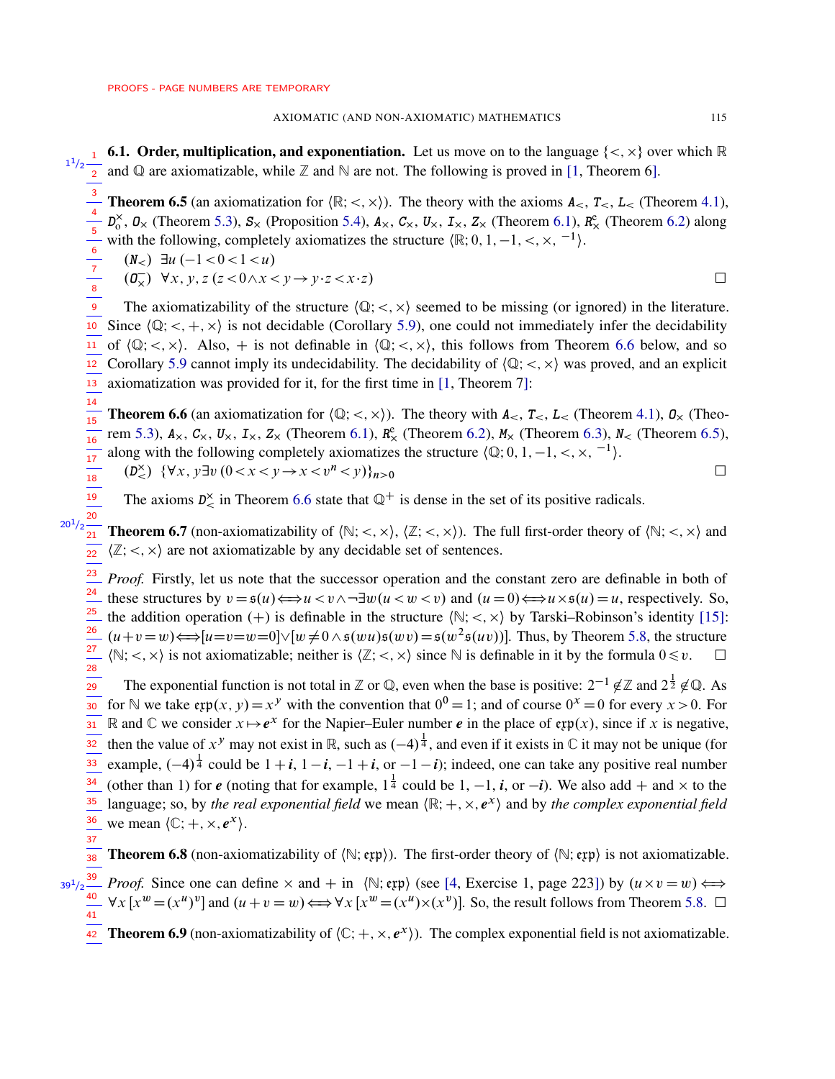$\frac{1}{18}$ 19 20

28

**6.1. Order, multiplication, and exponentiation.** Let us move on to the language  $\{<,\times\}$  over which R  $1^{1/2}$  **1 0.1.** Order, multiplication, and exponentiation. Let us move on to the language {<, x} ov  $1^{1/2}$  and Q are axiomatizable, while Z and N are not. The following is proved in [\[1,](#page-18-0) Theorem 6].

<span id="page-14-1"></span>**Theorem 6.5** (an axiomatization for  $\langle \mathbb{R}; \langle \times, \times \rangle$ ). The theory with the axioms  $A_{\leq}$ ,  $T_{\leq}$ ,  $L_{\leq}$  (Theorem [4.1\)](#page-4-0),  $D_0^{\times}$ ,  $D_{\times}$  (Theorem [5.3\)](#page-9-0),  $S_{\times}$  (Proposition [5.4\)](#page-9-2),  $A_{\times}$ ,  $C_{\times}$ ,  $U_{\times}$ ,  $I_{\times}$ ,  $Z_{\times}$  (Theorem [6.1\)](#page-12-0),  $R_{\times}^e$  (Theorem [6.2\)](#page-13-0) along with the following, completely axiomatizes the structure  $\{R; 0, 1, -1, <, \times, \frac{-1}{\}$ . 3 4 5 6

 $(N_<)$   $\exists u$   $(-1 < 0 < 1 < u)$  $(\mathbf{0}_{\mathbf{x}})$   $\forall x, y, z \ (z < 0 \land x < y \rightarrow y \cdot z < x \cdot z)$ 

The axiomatizability of the structure  $\langle \mathbb{Q}; \langle \times, \times \rangle$  seemed to be missing (or ignored) in the literature. Since  $\langle \mathbb{Q}; \langle +, \times \rangle$  is not decidable (Corollary [5.9\)](#page-12-1), one could not immediately infer the decidability of  $\langle \mathbb{Q}; \langle \times, \times \rangle$ . Also, + is not definable in  $\langle \mathbb{Q}; \langle \times, \times \rangle$ , this follows from Theorem [6.6](#page-14-0) below, and so Corollary [5.9](#page-12-1) cannot imply its undecidability. The decidability of  $(Q; <, \times)$  was proved, and an explicit axiomatization was provided for it, for the first time in [\[1,](#page-18-0) Theorem 7]: 9 10 11 12 13

<span id="page-14-0"></span>**Theorem 6.6** (an axiomatization for  $\langle \mathbb{Q}; \langle \times, \times \rangle$ ). The theory with  $A_{\leq}$ ,  $T_{\leq}$ ,  $L_{\leq}$  (Theorem [4.1\)](#page-4-0),  $\mathcal{O}_{\times}$  (Theo-rem [5.3\)](#page-9-0),  $A_\times$ ,  $C_\times$ ,  $U_\times$ ,  $I_\times$ ,  $Z_\times$  (Theorem [6.1\)](#page-12-0),  $R_\times^e$  (Theorem [6.2\)](#page-13-0),  $M_\times$  (Theorem [6.3\)](#page-13-1),  $N_\lt$  (Theorem [6.5\)](#page-14-1), along with the following completely axiomatizes the structure  $\langle \mathbb{Q}; 0, 1, -1, \langle , \times, -1 \rangle$ . 14  $\overline{15}$  $\frac{1}{16}$  $\frac{1}{17}$ 

$$
(D^{\times}_{<}) \ \{\forall x, y \exists v \ (0 < x < y \rightarrow x < v^{n} < y)\}_{n>0}
$$

The axioms  $D_{\leq}^{\times}$  in Theorem [6.6](#page-14-0) state that  $\mathbb{Q}^{+}$  is dense in the set of its positive radicals.

**Theorem 6.7** (non-axiomatizability of  $\langle \mathbb{N}; <, \times \rangle$ ,  $\langle \mathbb{Z}; <, \times \rangle$ ). The full first-order theory of  $\langle \mathbb{N}; <, \times \rangle$  and  $\langle \mathbb{Z}; <, \times \rangle$  are not axiomatizable by any decidable set of sentences.  $\frac{20^{1}/2}{21}$ 22

*Proof.* Firstly, let us note that the successor operation and the constant zero are definable in both of these structures by  $v = \mathfrak{s}(u) \Longleftrightarrow u < v \land \neg \exists w (u < w < v)$  and  $(u = 0) \Longleftrightarrow u \times \mathfrak{s}(u) = u$ , respectively. So, the addition operation  $(+)$  is definable in the structure  $\langle \mathbb{N}; <, \times \rangle$  by Tarski–Robinson's identity [\[15\]](#page-18-6):  $(u+v=w) \Longleftrightarrow [u=v=w=0] \vee [w \neq 0 \wedge \mathfrak{s}(wu) \mathfrak{s}(wv) = \mathfrak{s}(w^2 \mathfrak{s}(uv))]$ . Thus, by Theorem [5.8,](#page-12-2) the structure  $\langle \mathbb{N}; <, \times \rangle$  is not axiomatizable; neither is  $\langle \mathbb{Z}; <, \times \rangle$  since  $\mathbb N$  is definable in it by the formula  $0 \le v$ .  $\Box$ 23 24 25 26 27

The exponential function is not total in Z or Q, even when the base is positive:  $2^{-1} \notin \mathbb{Z}$  and  $2^{\frac{1}{2}} \notin \mathbb{Q}$ . As for N we take  $exp(x, y) = x^y$  with the convention that  $0^0 = 1$ ; and of course  $0^x = 0$  for every  $x > 0$ . For R and C we consider  $x \mapsto e^x$  for the Napier–Euler number *e* in the place of  $exp(x)$ , since if x is negative, then the value of  $x^y$  may not exist in R, such as  $(-4)^{\frac{1}{4}}$ , and even if it exists in  $\mathbb C$  it may not be unique (for example,  $(-4)^{\frac{1}{4}}$  could be  $1 + i$ ,  $1 - i$ ,  $-1 + i$ , or  $-1 - i$ ); indeed, one can take any positive real number (other than 1) for *e* (noting that for example,  $1^{\frac{1}{4}}$  could be 1, -1, *i*, or -*i*). We also add + and × to the language; so, by *the real exponential field* we mean  $\langle \mathbb{R}; +, \times, e^{\chi} \rangle$  and by *the complex exponential field* we mean  $\langle \mathbb{C}; +, \times, e^x \rangle$ .  $\frac{1}{29}$ 30 31 32 33 34 35 36 37

**Theorem 6.8** (non-axiomatizability of  $\langle \mathbb{N}; \exp \rangle$ ). The first-order theory of  $\langle \mathbb{N}; \exp \rangle$  is not axiomatizable. 38

**Proof.** Since one can define  $\times$  and  $+$  in  $\langle \mathbb{N}; \exp \rangle$  (see [\[4,](#page-18-2) Exercise 1, page 223]) by  $(u \times v = w) \Longleftrightarrow$  $\forall x [x^w = (x^u)^v]$  and  $(u + v = w) \Longleftrightarrow \forall x [x^w = (x^u) \times (x^v)]$ . So, the result follows from Theorem [5.8.](#page-12-2)  $\Box$  $39^{1}/2$ 40 41

**Theorem 6.9** (non-axiomatizability of  $\langle \mathbb{C}; +, \times, e^x \rangle$ ). The complex exponential field is not axiomatizable.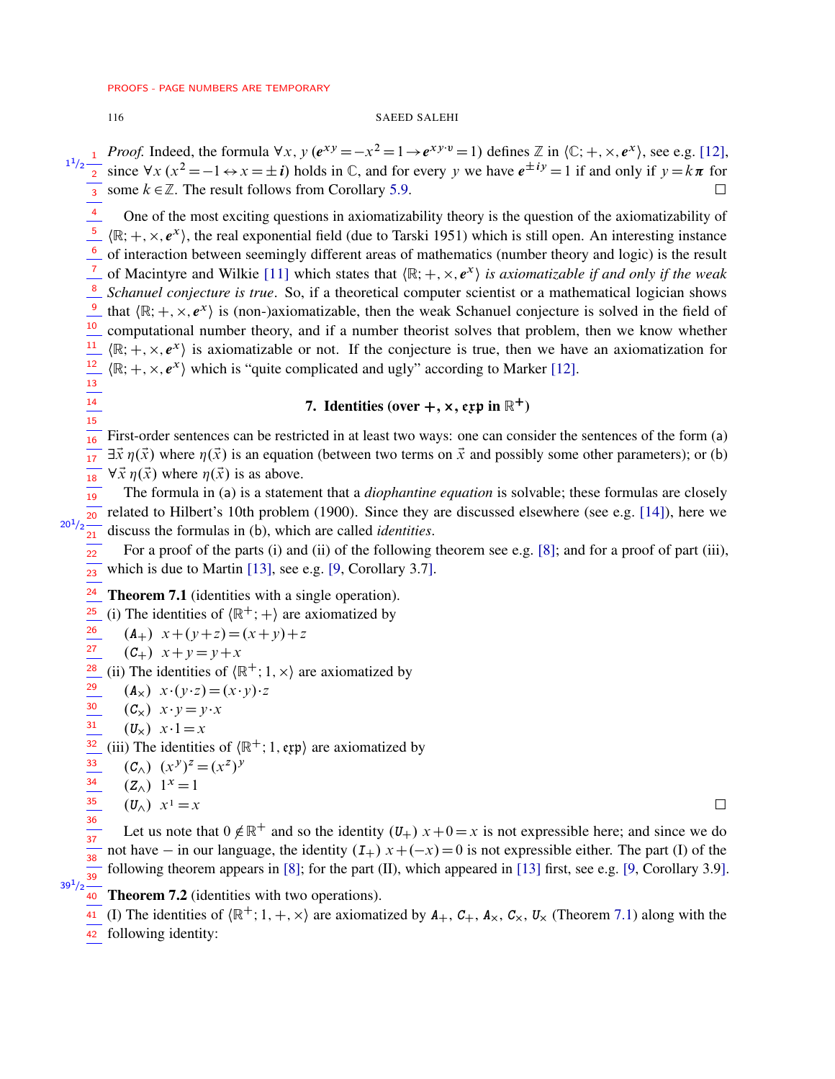<span id="page-15-0"></span>13 14  $\frac{1}{15}$ 

## 116 SAEED SALEHI

*Proof.* Indeed, the formula  $\forall x, y$   $(e^{xy} = -x^2 = 1 \rightarrow e^{xy \cdot v} = 1)$  defines  $\mathbb{Z}$  in  $\langle C; +, \times, e^x \rangle$ , see e.g. [\[12\]](#page-18-5), since  $\forall x (x)$  $2 = -1 \leftrightarrow x = \pm i$ ) holds in C, and for every y we have  $e^{\pm iy} = 1$  if and only if  $y = k\pi$  for since  $\forall x (x^2 = -1 \Leftrightarrow x = \pm i)$  holds in  $\cup$ , and for every y we have  $e^{-\frac{1}{2}} = 1$  if and only if  $y = k\pi$  for  $\sqrt{3}$  some  $k \in \mathbb{Z}$ . The result follows from Corollary [5.9.](#page-12-1) 3

One of the most exciting questions in axiomatizability theory is the question of the axiomatizability of  $\langle \mathbb{R}; +, \times, e^{x} \rangle$ , the real exponential field (due to Tarski 1951) which is still open. An interesting instance of interaction between seemingly different areas of mathematics (number theory and logic) is the result <sup>7</sup> of Macintyre and Wilkie [\[11\]](#page-18-8) which states that  $\langle \mathbb{R}; +, \times, e^x \rangle$  is axiomatizable if and only if the weak *Schanuel conjecture is true*. So, if a theoretical computer scientist or a mathematical logician shows 8 that  $\langle \mathbb{R}; +, \times, e^{x} \rangle$  is (non-)axiomatizable, then the weak Schanuel conjecture is solved in the field of computational number theory, and if a number theorist solves that problem, then we know whether  $\langle \mathbb{R}; +, \times, e^{x} \rangle$  is axiomatizable or not. If the conjecture is true, then we have an axiomatization for  $\langle \mathbb{R}; +, \times, e^{x} \rangle$  which is "quite complicated and ugly" according to Marker [\[12\]](#page-18-5). 4 5 6 9 10 11 12

# 7. Identities (over  $+$ ,  $\times$ , exp in  $\mathbb{R}^+$ )

First-order sentences can be restricted in at least two ways: one can consider the sentences of the form (a)  $\exists \vec{x} \eta(\vec{x})$  where  $\eta(\vec{x})$  is an equation (between two terms on  $\vec{x}$  and possibly some other parameters); or (b)  $\forall \vec{x} \eta(\vec{x})$  where  $\eta(\vec{x})$  is as above. 16 17 18

The formula in (a) is a statement that a *diophantine equation* is solvable; these formulas are closely related to Hilbert's 10th problem (1900). Since they are discussed elsewhere (see e.g. [\[14\]](#page-18-7)), here we discuss the formulas in (b), which are called *identities*. 19 20  $20^{1}/2$  $\overline{21}$ 

For a proof of the parts (i) and (ii) of the following theorem see e.g. [\[8\]](#page-18-9); and for a proof of part (iii), which is due to Martin [\[13\]](#page-18-10), see e.g. [\[9,](#page-18-11) Corollary 3.7]. 22  $\frac{1}{23}$ 

<span id="page-15-1"></span>Theorem 7.1 (identities with a single operation). 24

(i) The identities of  $\langle \mathbb{R}^+; + \rangle$  are axiomatized by  $\frac{1}{25}$ 

 $(A_{+})$   $x+(y+z)=(x+y)+z$ 26

$$
\frac{27}{2} \quad (C_+ ) \quad x + y = y + x
$$

(ii) The identities of  $\langle \mathbb{R}^+; 1, \times \rangle$  are axiomatized by 28

 $(A_x)$   $x \cdot (y \cdot z) = (x \cdot y) \cdot z$ 29

 $(C_x)$   $x \cdot y = y \cdot x$ 30

 $(U_x)$   $x \cdot 1 = x$  $rac{30}{31}$ 

(iii) The identities of  $\langle \mathbb{R}^+; 1, \text{exp} \rangle$  are axiomatized by 32

$$
\stackrel{33}{=} (C_{\wedge}) (x^y)^z = (x^z)^y
$$

 $(Z_{\wedge})$  1<sup>x</sup> = 1 34

35 36

 $39^{1}/2$ 

$$
(U_{\wedge}) \ \ x^1 = x \qquad \qquad \Box
$$

Let us note that  $0 \notin \mathbb{R}^+$  and so the identity  $(U_+)$   $x+0=x$  is not expressible here; and since we do not have  $-$  in our language, the identity  $(I_+)$   $x + (-x) = 0$  is not expressible either. The part (I) of the following theorem appears in [\[8\]](#page-18-9); for the part (II), which appeared in [\[13\]](#page-18-10) first, see e.g. [\[9,](#page-18-11) Corollary 3.9].  $\frac{32}{37}$ 38  $\frac{1}{39}$ 

# <span id="page-15-2"></span>40 Theorem 7.2 (identities with two operations).

(I) The identities of  $\langle \mathbb{R}^+; 1, +, \times \rangle$  are axiomatized by  $A_+$ ,  $C_+$ ,  $A_\times$ ,  $C_\times$ ,  $U_\times$  (Theorem [7.1\)](#page-15-1) along with the 41

42 following identity: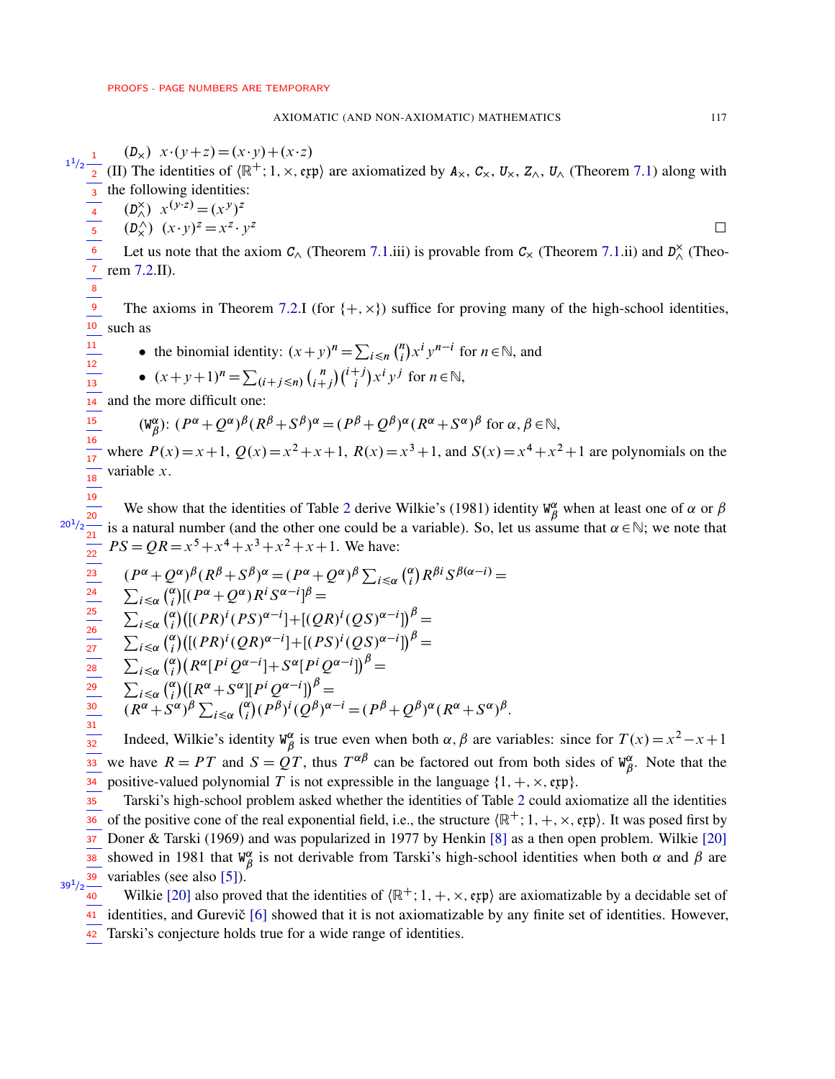$(D_x)$   $x \cdot (y+z) = (x \cdot y) + (x \cdot z)$ (II) The identities of  $\langle \mathbb{R}^+; 1, \times, \text{exp} \rangle$  are axiomatized by  $A_\times$ ,  $C_\times$ ,  $U_\times$ ,  $Z_\wedge$ ,  $U_\wedge$  (Theorem [7.1\)](#page-15-1) along with the following identities:  $(D_{\wedge}^{\times})$   $x^{(y \cdot z)} = (x^{y})^{z}$  $(D_x^{\lambda}) (x \cdot y)^z = x^z \cdot y$  $\overline{z}$ Let us note that the axiom  $C_{\wedge}$  (Theorem [7.1.](#page-15-1)iii) is provable from  $C_{\wedge}$  (Theorem 7.1.ii) and  $D_{\wedge}^{\times}$  (Theorem [7.2.](#page-15-2)II). The axioms in Theorem [7.2.](#page-15-2)I (for  $\{+, \times\}$ ) suffice for proving many of the high-school identities, such as • the binomial identity:  $(x+y)^n = \sum_{i \le n} {n \choose i}$  $\binom{n}{i} x^i y^{n-i}$  for  $n \in \mathbb{N}$ , and •  $(x+y+1)^n = \sum_{(i+j \le n)} {n \choose i+j} {i+j \choose i} x^i y^j$  for  $n \in \mathbb{N}$ , and the more difficult one:  $(W^{\alpha}_{\beta})$  ${}^{\alpha}_{\beta}$ :  $(P^{\alpha} + Q^{\alpha})^{\beta} (R^{\beta} + S^{\beta})^{\alpha} = (P^{\beta} + Q^{\beta})^{\alpha} (R^{\alpha} + S^{\alpha})^{\beta}$  for  $\alpha, \beta \in \mathbb{N}$ , where  $P(x) = x + 1$ ,  $Q(x) = x^2 + x + 1$ ,  $R(x) = x^3 + 1$ , and  $S(x) = x^4 + x^2 + 1$  are polynomials on the variable x. We show that the identities of Table [2](#page-1-0) derive Wilkie's (1981) identity  $W^{\alpha}_{\beta}$  $_{\beta}^{\alpha}$  when at least one of  $\alpha$  or  $\beta$ is a natural number (and the other one could be a variable). So, let us assume that  $\alpha \in \mathbb{N}$ ; we note that  $PS = QR = x^5 + x^4 + x^3 + x^2 + x + 1$ . We have:  $(P^{\alpha} + Q^{\alpha})^{\beta} (R^{\beta} + S^{\beta})^{\alpha} = (P^{\alpha} + Q^{\alpha})^{\beta} \sum_{i \leq \alpha} {(\alpha_i - \beta)^{\alpha}}$  $\binom{\alpha}{i} R^{\beta i} S^{\beta(\alpha-i)} =$  $\sum_{i \leq \alpha} \binom{\alpha}{i}$  $\int_{a}^{\alpha}$ |  $(P^{\alpha} + Q^{\alpha}) R^{i} S^{\alpha - i}]^{\beta} =$  $\sum_{i \leq \alpha} \binom{\alpha}{i}$  $\int_{i}^{\alpha} \left( \left[ (PR)^{i} (PS)^{\alpha - i} \right] + \left[ (QR)^{i} (QS)^{\alpha - i} \right] \right)^{\beta} =$  $\sum_{i \leq \alpha} \binom{\alpha}{i}$  $\int_{i}^{\alpha} \left( \left[ (PR)^{i} (QR)^{\alpha - i} \right] + \left[ (PS)^{i} (QS)^{\alpha - i} \right] \right)^{\beta} =$  $\sum_{i \leq \alpha} \binom{\alpha}{i}$  $\int_{a}^{\alpha}$  $(R^{\alpha}[P^i Q^{\alpha-i}] + S^{\alpha}[P^i Q^{\alpha-i}])^{\beta} =$  $\sum_{i \leq \alpha} \binom{\alpha}{i}$  $\binom{\alpha}{i} \bigl( [R^{\alpha} + S^{\alpha}] [P^i Q^{\alpha - i}] \bigr)^{\beta} =$  $(R^{\alpha} + S^{\alpha})^{\beta} \sum_{i \leq \alpha}$   $\binom{\alpha}{i}$  $\int_{a}^{\alpha} (P^{\beta})^i (Q^{\beta})^{\alpha - i} = (P^{\beta} + Q^{\beta})^{\alpha} (R^{\alpha} + S^{\alpha})^{\beta}.$ Indeed, Wilkie's identity **W** ˛  $\alpha$  is true even when both  $\alpha$ ,  $\beta$  are variables: since for  $T(x) = x^2 - x + 1$ we have  $R = PT$  and  $S = QT$ , thus  $T^{\alpha\beta}$  can be factored out from both sides of  $W^{\alpha}_{\beta}$ we have  $R = PT$  and  $S = QT$ , thus  $T^{\alpha\beta}$  can be factored out from both sides of  $W^{\alpha}_{\beta}$ . Note that the <sup>34</sup> positive-valued polynomial T is not expressible in the language  $\{1, +, \times, \text{exp}\}.$ Tarski's high-school problem asked whether the identities of Table [2](#page-1-0) could axiomatize all the identities of the positive cone of the real exponential field, i.e., the structure  $(\mathbb{R}^+; 1, +, \times, \text{exp})$ . It was posed first by Doner & Tarski (1969) and was popularized in 1977 by Henkin [\[8\]](#page-18-9) as a then open problem. Wilkie [\[20\]](#page-19-3) showed in 1981 that  $W^{\alpha}_{\beta}$  $\frac{\alpha}{\beta}$  is not derivable from Tarski's high-school identities when both  $\alpha$  and  $\beta$  are variables (see also [\[5\]](#page-18-12)). 39 Wilkie [\[20\]](#page-19-3) also proved that the identities of  $(\mathbb{R}^+; 1, +, \times, \text{exp})$  are axiomatizable by a decidable set of 41 identities, and Gurevič [\[6\]](#page-18-13) showed that it is not axiomatizable by any finite set of identities. However, 42 Tarski's conjecture holds true for a wide range of identities. 1 1  $\frac{1}{2}$ 2 3 4 5 6 7 8 9 10 11 12  $\frac{1}{13}$  $\overline{14}$  $\frac{1}{15}$  $\frac{1}{16}$  $\frac{1}{17}$  $\frac{1}{18}$  $\frac{1}{19}$  $20^{1}/2 \frac{20}{21}$ 22 23 24 25 26 27 28 29 30 31 32 35 36 37 38  $39^{1}/2$ 40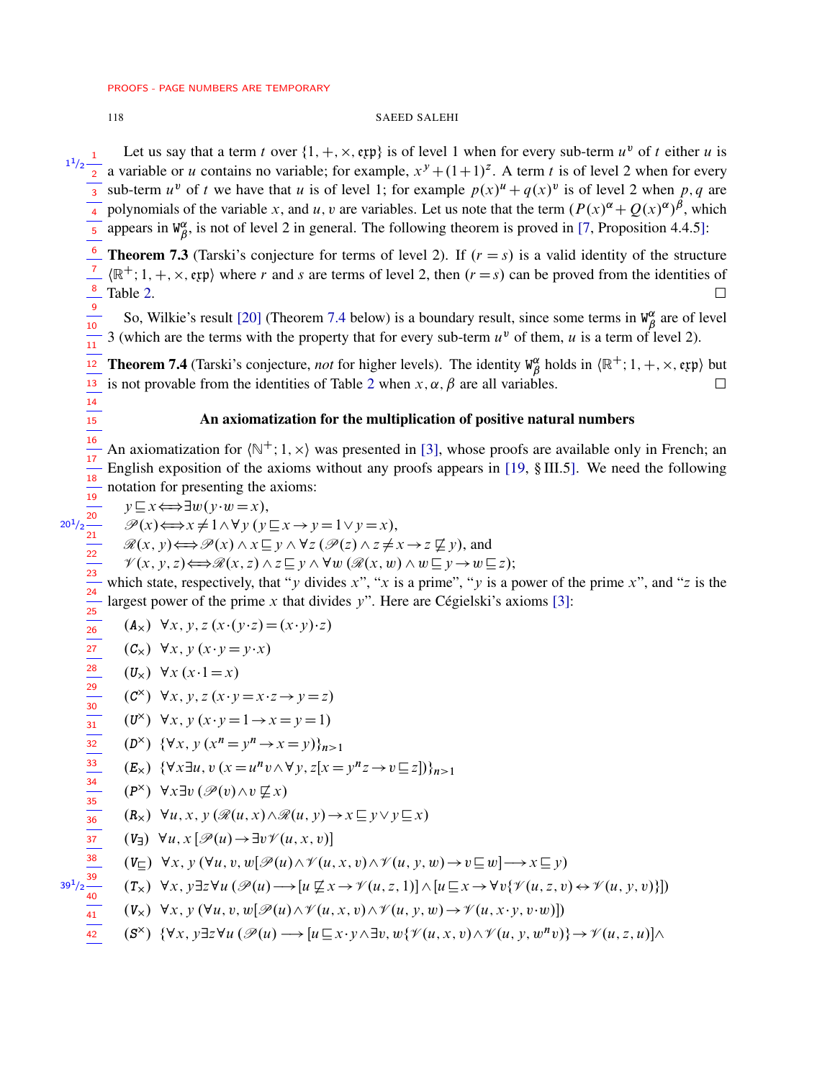14  $\frac{1}{15}$ 

 $20<sup>1</sup>/2$ 

22

36 37

41

 $39<sup>1</sup>$ 

## 118 SAEED SALEHI

Let us say that a term t over  $\{1, +, \times, \text{exp}\}\$ is of level 1 when for every sub-term  $u^v$  of t either u is a variable or u contains no variable; for example,  $x^y + (1+1)^z$ . A term t is of level 2 when for every sub-term  $u^v$  of t we have that u is of level 1; for example  $p(x)^u + q(x)^v$  is of level 2 when p, q are polynomials of the variable x, and u, v are variables. Let us note that the term  $(P(x)^{\alpha} + Q(x)^{\alpha})^{\beta}$ , which appears in  $W^{\alpha}_{\beta}$  $^{\alpha}_{\beta}$ , is not of level 2 in general. The following theorem is proved in [\[7,](#page-18-14) Proposition 4.4.5]: 1  $\frac{1}{2}$ 2 3 4 5

**Theorem 7.3** (Tarski's conjecture for terms of level 2). If  $(r = s)$  is a valid identity of the structure  $\langle \mathbb{R}^+; 1, +, \times, \text{exp} \rangle$  where r and s are terms of level 2, then  $(r = s)$  can be proved from the identities of Table [2.](#page-1-0)  $\Box$ 6 7 8

So, Wilkie's result [\[20\]](#page-19-3) (Theorem [7.4](#page-17-0) below) is a boundary result, since some terms in  $W^{\alpha}_{\beta}$  $\frac{\alpha}{\beta}$  are of level 3 (which are the terms with the property that for every sub-term  $u^v$  of them, u is a term of level 2). 9  $\frac{1}{10}$  $\frac{1}{11}$ 

<span id="page-17-0"></span>**Theorem 7.4** (Tarski's conjecture, *not* for higher levels). The identity  $W^{\alpha}_{\beta}$  $\frac{\alpha}{\beta}$  holds in  $\langle \mathbb{R}^+; 1, +, \times, \text{exp} \rangle$  but is not provable from the identities of Table [2](#page-1-0) when  $x, \alpha, \beta$  are all variables.  $\frac{1}{12}$ 13

# An axiomatization for the multiplication of positive natural numbers

An axiomatization for  $\langle N^{\dagger}; 1, x \rangle$  was presented in [\[3\]](#page-18-15), whose proofs are available only in French; an English exposition of the axioms without any proofs appears in [\[19,](#page-19-0) § III.5]. We need the following notation for presenting the axioms: 16  $\frac{1}{17}$  $\frac{1}{18}$  $\frac{1}{19}$ 

 $y \sqsubseteq x \Longleftrightarrow \exists w(y \cdot w = x),$ 

$$
\overline{\mathscr{P}(x)} \xrightarrow{20} \overline{\mathscr{P}(x)} \Longleftrightarrow x \neq 1 \wedge \forall y \ (y \sqsubseteq x \rightarrow y = 1 \vee y = x),
$$

 $\mathcal{R}(x, y) \Longleftrightarrow \mathcal{P}(x) \wedge x \sqsubseteq y \wedge \forall z (\mathcal{P}(z) \wedge z \neq x \rightarrow z \not\sqsubseteq y)$ , and

 $\mathscr{V}(x, y, z) \Longleftrightarrow \mathscr{R}(x, z) \wedge z \sqsubseteq y \wedge \forall w \left( \mathscr{R}(x, w) \wedge w \sqsubseteq y \rightarrow w \sqsubseteq z \right);$ 

which state, respectively, that "y divides x", "x is a prime", "y is a power of the prime x", and "z is the largest power of the prime x that divides y". Here are Cégielski's axioms [\[3\]](#page-18-15): 23 24 25

$$
(\mathbf{A}_{\mathbf{x}}) \ \ \forall x, y, z \ (x \cdot (y \cdot z) = (x \cdot y) \cdot z)
$$

$$
(\mathbf{C}_{\mathbf{x}}) \ \ \forall x, y \ (x \cdot y = y \cdot x)
$$

 $(U_x) \forall x (x \cdot 1 = x)$ 

$$
(\mathcal{C}^{\times}) \ \forall x, y, z (x \cdot y = x \cdot z \rightarrow y = z)
$$

$$
(U^{\times}) \quad \forall x, y \ (x \cdot y = 1 \rightarrow x = y = 1)
$$

$$
(D^{\times}) \ \{\forall x, y \ (x^n = y^n \rightarrow x = y)\}_{n>1}
$$

$$
(E_{\times}) \ \{\forall x \exists u, v \ (x = u^n v \land \forall y, z [x = y^n z \to v \sqsubseteq z])\}_{n>1}
$$

$$
\frac{34}{35} \qquad (\mathsf{P}^{\times}) \ \ \forall x \exists v \left( \mathscr{P}(v) \wedge v \not\sqsubseteq x \right)
$$

$$
(R_{\times}) \ \forall u, x, y \ (\mathcal{R}(u, x) \wedge \mathcal{R}(u, y) \rightarrow x \sqsubseteq y \vee y \sqsubseteq x)
$$

$$
(V_{\exists}) \ \forall u, x \, [\mathcal{P}(u) \rightarrow \exists v \mathcal{V}(u, x, v)]
$$

$$
\stackrel{38}{\longrightarrow} \quad (V_{\square}) \ \forall x, y \ (\forall u, v, w[\mathscr{P}(u) \wedge \mathscr{V}(u, x, v) \wedge \mathscr{V}(u, y, w) \rightarrow v \sqsubseteq w] \rightarrow x \sqsubseteq y)
$$

$$
\sqrt{2\frac{39}{40}} \quad (\mathbf{T}_\times) \quad \forall x, y \exists z \forall u \left( \mathcal{P}(u) \longrightarrow [u \not\sqsubseteq x \rightarrow \mathcal{V}(u, z, 1)] \land [u \sqsubseteq x \rightarrow \forall v \{ \mathcal{V}(u, z, v) \leftrightarrow \mathcal{V}(u, y, v) \} ]
$$

 $(\mathbf{V}_\times) \ \forall x, y \ (\forall u, v, w[\mathscr{P}(u) \wedge \mathscr{V}(u, x, v) \wedge \mathscr{V}(u, y, w) \rightarrow \mathscr{V}(u, x\cdot y, v\cdot w)]$ 

$$
\overline{42} \qquad (\mathbf{S}^{\times}) \quad {\forall x, y \exists z \forall u \ (\mathscr{P}(u) \longrightarrow [u \sqsubseteq x \cdot y \wedge \exists v, w \{\mathscr{V}(u, x, v) \wedge \mathscr{V}(u, y, w^n v)\} \rightarrow \mathscr{V}(u, z, u)] \wedge
$$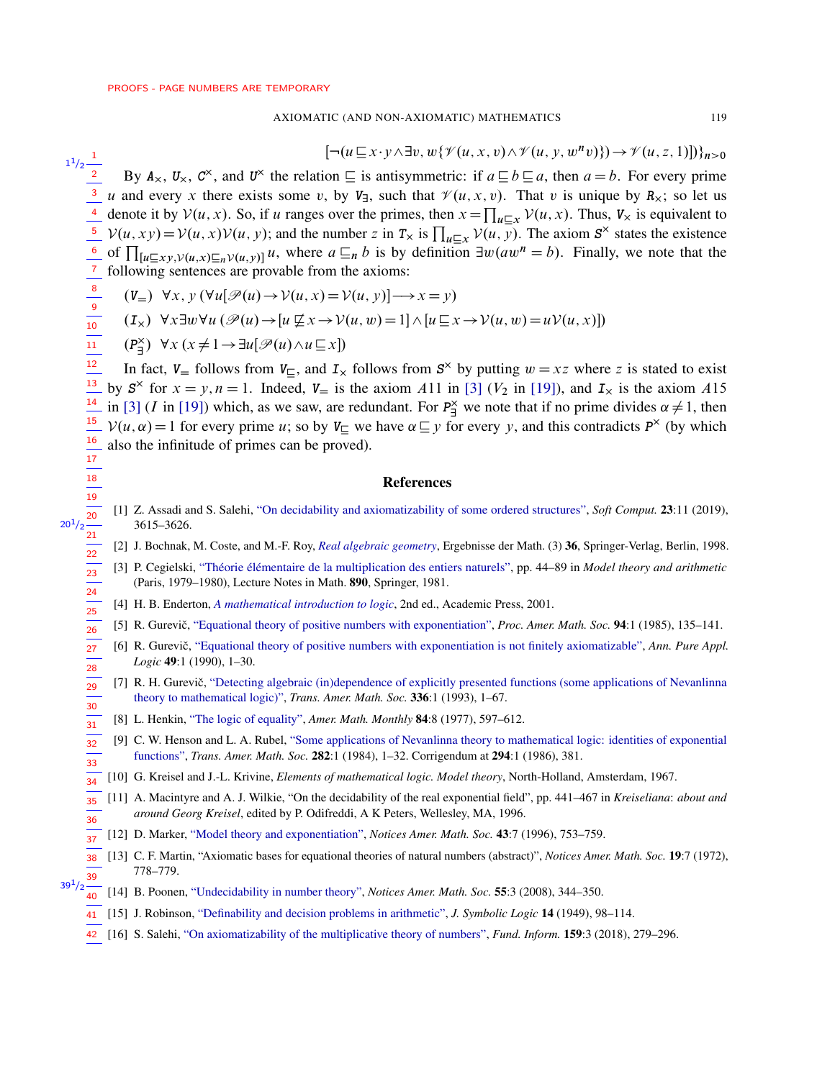## AXIOMATIC (AND NON-AXIOMATIC) MATHEMATICS

# $\left[\neg (u \sqsubseteq x \cdot y \wedge \exists v, w \{\mathcal{V}(u, x, v) \wedge \mathcal{V}(u, y, w^n v)\}) \rightarrow \mathcal{V}(u, z, 1) \right]\right\}_{n>0}$

 $1^{1}/2\frac{1}{2}$ By  $A_{\times}$ ,  $U_{\times}$ ,  $C^{\times}$ , and  $U^{\times}$  the relation  $\subseteq$  is antisymmetric: if  $a \sqsubseteq b \sqsubseteq a$ , then  $a = b$ . For every prime <sup>3</sup> u and every x there exists some v, by  $V_7$ , such that  $\mathcal{V}(u, x, v)$ . That v is unique by  $R_\times$ ; so let us denote it by  $V(u, x)$ . So, if u ranges over the primes, then  $x = \prod_{u \subseteq x} V(u, x)$ . Thus,  $V_x$  is equivalent to  $V(u, xy) = V(u, x)V(u, y)$ ; and the number z in  $T_x$  is  $\prod_{u \subseteq x} V(u, y)$ . The axiom  $S^{\times}$  states the existence  $\frac{6}{\frac{7}{\frac{8}{\frac{9}{10}}}}$ of  $\prod_{[u \subseteq xy, v(u,x) \subseteq n} v(u,y)]$  u, where  $a \subseteq_n b$  is by definition  $\exists w (aw^n = b)$ . Finally, we note that the following sentences are provable from the axioms:

$$
(V_{=} \mathbf{V} \forall x, y \ (\forall u[\mathcal{P}(u) \rightarrow \mathcal{V}(u, x) = \mathcal{V}(u, y)] \rightarrow x = y)
$$

$$
(\mathbf{I}_x) \ \forall x \exists w \forall u \ (\mathscr{P}(u) \rightarrow [u \not\sqsubseteq x \rightarrow \mathcal{V}(u, w) = 1] \land [u \sqsubseteq x \rightarrow \mathcal{V}(u, w) = u\mathcal{V}(u, x)])
$$

$$
(\mathsf{P}_{\exists}^{\times}) \ \ \forall x \ (x \neq 1 \rightarrow \exists u[\mathscr{P}(u) \land u \sqsubseteq x])
$$

 $\frac{1}{18}$ 

<span id="page-18-9"></span> $\frac{1}{31}$ 

<span id="page-18-15"></span><span id="page-18-4"></span> $20<sup>1</sup>$ 

 $\frac{1}{12}$ In fact,  $V_{\equiv}$  follows from  $V_{\equiv}$ , and  $I_{\times}$  follows from  $S^{\times}$  by putting  $w = xz$  where z is stated to exist 13 by  $S^{\times}$  for  $x = y, n = 1$ . Indeed,  $V_{\pm}$  is the axiom A11 in [3] ( $V_2$  in [19]), and  $I_{\times}$  is the axiom A15 14 in [3] (*I* in [19]) which, as we saw, are redundant. For  $P_{\exists}^{\times}$  we note that if no prime divides  $\alpha \neq 1$ , then 15  $V(u, \alpha) = 1$  for every prime u; so by  $V_{\alpha}$  we have  $\alpha \subseteq y$  for every y, and this contradicts  $P^{\times}$  (by which  $\frac{16}{1}$ also the infinitude of primes can be proved).  $\overline{17}$ 

## **References**

- <span id="page-18-0"></span> $\frac{19}{20}$ <br> $\frac{21}{22}$ <br> $\frac{22}{23}$ <br> $\frac{23}{24}$ <br> $\frac{24}{25}$ [1] Z. Assadi and S. Salehi, "On decidability and axiomatizability of some ordered structures", Soft Comput. 23:11 (2019), 3615-3626.
	- [2] J. Bochnak, M. Coste, and M.-F. Roy, Real algebraic geometry, Ergebnisse der Math. (3) 36, Springer-Verlag, Berlin, 1998.
	- [3] P. Cegielski, "Théorie élémentaire de la multiplication des entiers naturels", pp. 44–89 in Model theory and arithmetic (Paris, 1979–1980), Lecture Notes in Math. 890, Springer, 1981.
	- [4] H. B. Enderton, A mathematical introduction to logic, 2nd ed., Academic Press, 2001.
- <span id="page-18-12"></span><span id="page-18-2"></span> $\frac{1}{26}$ [5] R. Gurevič, "Equational theory of positive numbers with exponentiation", Proc. Amer. Math. Soc. 94:1 (1985), 135–141.
- <span id="page-18-13"></span> $\overline{27}$ [6] R. Gurevič, "Equational theory of positive numbers with exponentiation is not finitely axiomatizable", Ann. Pure Appl.  $\frac{1}{28}$ Logic 49:1 (1990), 1-30.
- <span id="page-18-14"></span> $\frac{1}{29}$ [7] R. H. Gurevič, "Detecting algebraic (in)dependence of explicitly presented functions (some applications of Nevanlinna theory to mathematical logic)", Trans. Amer. Math. Soc. 336:1 (1993), 1-67.  $30$ 
	- [8] L. Henkin, "The logic of equality", Amer. Math. Monthly 84:8 (1977), 597-612.
- <span id="page-18-11"></span> $\frac{1}{32}$ [9] C. W. Henson and L. A. Rubel, "Some applications of Nevanlinna theory to mathematical logic: identities of exponential functions", Trans. Amer. Math. Soc. 282:1 (1984), 1-32. Corrigendum at 294:1 (1986), 381.  $\frac{1}{33}$
- <span id="page-18-3"></span>[10] G. Kreisel and J.-L. Krivine, *Elements of mathematical logic. Model theory*, North-Holland, Amsterdam, 1967.  $\overline{34}$
- <span id="page-18-8"></span>[11] A. Macintyre and A. J. Wilkie, "On the decidability of the real exponential field", pp. 441–467 in Kreiseliana: about and 35 around Georg Kreisel, edited by P. Odifreddi, A K Peters, Wellesley, MA, 1996. 36
- <span id="page-18-10"></span><span id="page-18-5"></span> $\frac{1}{37}$  [12] D. Marker, "Model theory and exponentiation", Notices Amer. Math. Soc. 43:7 (1996), 753–759.
- <span id="page-18-7"></span>[13] C. F. Martin, "Axiomatic bases for equational theories of natural numbers (abstract)", Notices Amer. Math. Soc. 19:7 (1972), 38 778-779. 39
- <span id="page-18-6"></span><span id="page-18-1"></span> $39^{1}/2$  $\overline{40}$  [14] B. Poonen, "Undecidability in number theory", Notices Amer. Math. Soc. 55:3 (2008), 344–350.
	- 41 [15] J. Robinson, "Definability and decision problems in arithmetic", J. Symbolic Logic 14 (1949), 98-114.
	- 42 [16] S. Salehi, "On axiomatizability of the multiplicative theory of numbers", *Fund. Inform.* **159**:3 (2018), 279–296.